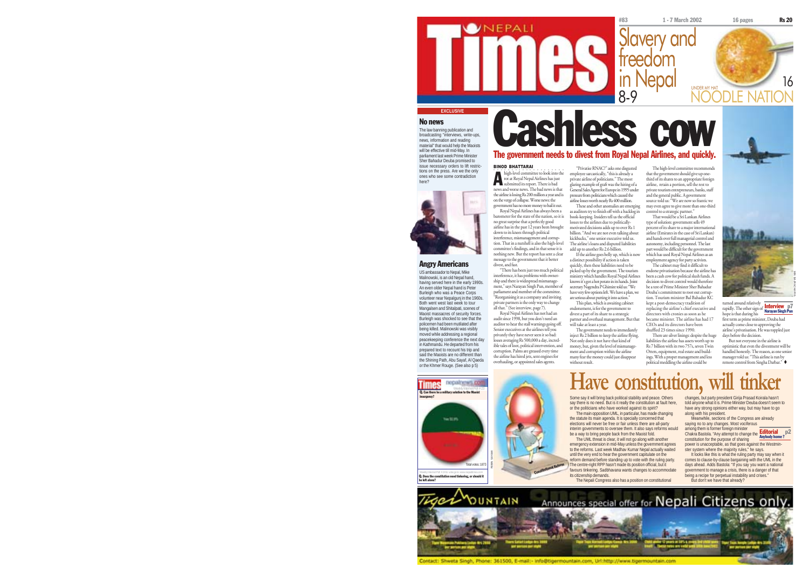

### No news

The law banning publication and broadcasting "interviews, write-ups, news, information and reading material" that would help the Maoists will be effective till mid-May. In parliament last week Prime Minister Sher Bahadur Deuba promised to issue necessary orders to lift restrictions on the press. Are we the only ones who see some contradiction



### Angry Americans

US ambassador to Nepal, Mike Malinowski, is an old Nepal hand, having served here in the early 1990s. An even older Nepal hand is Peter Burleigh who was a Peace Corps volunteer near Nepalgunj in the 1960s. Both went west last week to tour Mangalsen and Shitalpati, scenes of Maoist massacres of security forces. Burleigh was shocked to see that the policemen had been mutilated after being killed. Malinowski was visibly moved while addressing a regional peacekeeping conference the next day in Kathmandu. He departed from his prepared text to recount his trip and said the Maoists are no different than the Shining Path, Abu Sayaf, Al Qaeda or the Khmer Rouge. (See also p 5)

Cashless cow The government needs to divest from Royal Nepal Airlines, and quickly.

bigh-level committee to look into the high-level committee to look into the<br>rot at Royal Nepal Airlines has just<br>submitted its report. There is bad submitted its report. There is bad news and worse news. The bad news is that the airline is losing Rs 200 million a year and is on the verge of collapse. Worse news: the government has no more money to bail it out. Royal Nepal Airlines has always been a barometer for the state of the nation, so it is "Privatise RNAC?" asks one disgusted employee sarcastically, "this is already a private airline of politicians." The most glaring example of graft was the hiring of a General Sales Agent for Europe in 1995 under pressure from politicians which caused the airline losses worth nearly Rs 400 million. These and other anomalies are emerging as auditors try to finish off with a backlog in book-keeping. Insiders tell us the official

no great surprise that a perfectly good airline has in the past 12 years been brought interference, mismanagement and corrup-tion. That in a nutshell is also the high-level committee's findings, and in that sense it is nothing new. But the report has sent a clear message to the government that it better losses to the airlines due to politicallymotivated decisions adds up to over Rs 1 billion. "And we are not even talking about kickbacks," one senior executive told us. The airline's loans and disputed liabilities add up to another Rs 2.6 billion. If the airline goes belly up, which is now a distinct possibility if action is taken quickly, then these liabilities need to be

divest, and fast. "There has been just too much political interference, it has problems with ownership and there is widespread mismanagement," says Narayan Singh Pun, member of parliament and member of the committee. "Reorganising it as a company and inviting private partners is the only way to change all that." (See interview, page 7). Royal Nepal Airlines has not had an <sup>p</sup>icked up by the government. The tourism ministry which handles Royal Nepal Airlines knows it's got a hot potato in its hands. Joint secretary Nagendra P Ghimire told us: "We have very few options left. We have a plan, we are serious about putting it into action. This plan, which is awaiting cabinet endorsement, is for the government to divest a part of its share to a strategic

partner and overhaul management. But that will take at least a year.

The government needs to immediately inject Rs 2 billion to keep the airline flying. Not only does it not have that kind of

money, but, given the level of mismanagement and corruption within the airline many fear the money could just disappear without result.

The high-level committee recommends that the government should give up onethird of its shares to an appropriate foreign airline, retain a portion, sell the rest to private tourism entrepreneurs, banks, staff and the general public. A government source told us: "We are now so frantic we may even agree to give more than one-third control to a strategic partner." That would be a Sri Lankan Airlines

type of solution: government sells 49 percent of its share to a major international airline (Emirates in the case of Sri Lankan) and hands over full managerial control and autonomy, including personnel. The last autonomy, including personnel. The last which has used Royal Nepal Airlines as an employment agency for party activists.

The cabinet may find it difficult to endorse privatisation because the airline has been a cash cow for political slush funds. A decision to divest control would therefore be a test of Prime Minister Sher Bahadur Deuba's commitment to root out corrup-tion. Tourism minister Bal Bahadur KC kept a post-democracy tradition of replacing the airline's chief executive and directors with cronies as soon as he became minister. The airline has had 17



days before the decision. But not everyone in the airline is optimistic that even the divestment will be handled honestly. The reason, as one senior

There are silver linings: despite the huge turned around relatively<br>rapidly. The other sign of <mark>Interview p7</mark><br>hope is that during his karayan Singh Pun first term as prime minister, Deuba had actually come close to approving the actuary come come to approving ....

liabilities the airline has assets worth up to Rs 7 billion with its two 757s, seven Twin Otters, equipment, real estate and build-

ings. With a proper management and less political meddling the airline could be manager told us: "This airline is run by remote control from Singha Darbar."



Some say it will bring back political stability and peace. Others say there is no need. But is it really the constitution at fault here, or the politicians who have worked against its spirit? The main opposition UML, in particular, has made changing

the statute its main agenda. It is specially concerned that elections will never be free or fair unless there are all-party interim governments to oversee them. It also says reforms would be a way to bring people back from the Maoist fold. The UML threat is clear, it will not go along with another emergency extension in mid-May unless the government agrees

to the reforms. Last week Madhav Kumar Nepal actually waited until the very end to hear the government capitulate on the reform demand before standing up to vote with the ruling party. The centre-right RPP hasn't made its position official, but it favours tinkering. Sadbhavana wants changes to accommodate its citizenship demands.

The Nepali Congress also has a position on constitutional

changes, but party president Girija Prasad Koirala hasn't told anyone what it is. Prime Minister Deuba doesn't seem to have any strong opinions either way, but may have to go along with his president.

Meanwhile, sections of the Congress are already saying no to any changes. Most vociferous<br>among them is former foreign minister

among them is former foreign minister Chakra Bastola. "Any attempt to change the Editorial p2 Anybody home ? constitution for the purpose of sharing power is unacceptable, as that goes against the Westminster system where the majority rules," he says.

MIN BAJRACHARYA

ta ra

It looks like this is what the ruling party may say when it comes to clause-by-clause bargaining with the UML in the days ahead. Adds Bastola: "If you say you want a national government to manage a crisis, there is a danger of that being a recipe for perpetual instability and crises. But don't we have that already?



Contact: Shweta Singh, Phone: 361500, E-mail:- Info@tigermountain.com, Url:http://www.tigermountain.com

Constitutional Reform



BINOD BHATTARAI

down to its knees through political

# nepalpews.co with

Total votes: 1873

Weekly Internet Poll # 24 to vote go to: www.nepalitimes.com<br>Q. Does the constitution need tinkering, or should it be left alone?

Weekly Internet Poll # 23<br>Q. Can there be a military solution to the Maoist insurgency?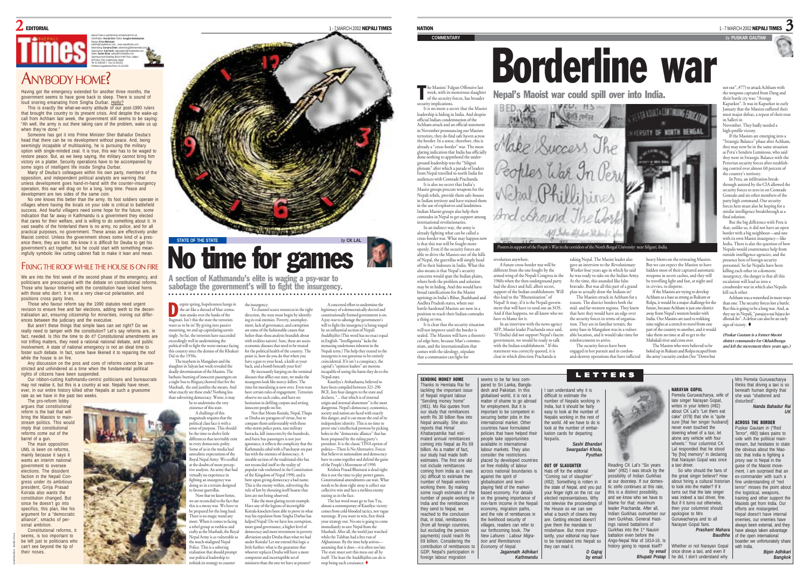### 2EDITORIAL

Nepali Times is published by Himalmedia Pvt Ltd, Chief Editor: **Kunda Dixit** Editor: **Anagha Neelakantan** Design: **Kiran Maharjan** editors@nepalitimes.com, www.nepalitimes.com Advertising: **Sunaina Shah** advertising@himalmedia.com Subscription: **Anil Karki** subscription@himalmedia.com Sales: **Sudan Bista** sales@himalmedia.com Sanchaya Kosh Building, Block A-4th Floor, Lalitpur GPO Box 7251, Kathmandu, Nepal Tel: 01-543333-7, Fax: 01-521013 Printed at Jagadamba Press: 01-521393

## ANYBODY HOME?

Having got the emergency extended for another three months, the government seems to have gone back to sleep. There is sound of loud snoring emanating from Singha Durbar. *Hello?*

This is exactly the what-we-worry attitude of our post-1990 rulers that brought the country to its present crisis. And despite the wake-up call from Achham last week, the government still seems to be saying: "Ah well, the army is out there taking care of the problem, wake us up when they're done."

Someone has got it into Prime Minister Sher Bahadur Deuba's head that there can be no development without peace. And, being seemingly incapable of multitasking, he is pursuing the military option with single-minded zeal. It is true, this war has to be waged to restore peace. But, as we keep saying, the military cannot bring him victory on a platter. Security operations have to be accompanied by some signs of intelligent life inside Singha Durbar.

Many of Deuba's colleagues within his own party, members of the opposition, and independent political analysts are warning that unless development goes hand-in-hand with the counter-insurgency operation, this war will drag on for a long, long time. Peace and development are two sides of the same coin.

No one knows this better than the army. Its foot soldiers operate in villages where having the locals on your side is critical to battlefield success. And fearful villagers need some hope for the future, some indication that far away in Kathmandu is a government they elected that cares for their welfare, and is willing to do something about it. In vast swaths of the hinterland there is no army, no police, and for all practical purposes, no government. These areas are effectively under Maoist control. Unless the government shows some kind of a presence there, they are lost. We know it is difficult for Deuba to get his government's act together, but he could start with something meaningfully symbolic like cutting cabinet flab to make it lean and mean.

## FIXING THE ROOF WHILE THE HOUSE IS ON FIRE

We are into the first week of the second phase of the emergency, and politicians are preoccupied with the debate on constitutional reforms. Those who favour tinkering with the constitution have locked horns with those who don't. It is not a very clear-cut polarisation, and positions cross party lines.

Those who favour reform say the 1990 statutes need urgent revision to ensure free and fair elections, adding teeth to the decentralisation act, ensuring citizenship for minorities, ironing out differences between the judiciary and the executive.

But aren't these things that simple laws can set right? Do we really need to tamper with the constitution? Let's say reforms are, in fact, needed. Is this the time to do it? Constitutional amendments are not trifling matters, they need a rational national debate, and public involvement. A state of national emergency is not an ideal time to foster such debate. In fact, some have likened it to repairing the roof while the house is on fire.

Any discussion on the pros and cons of reforms cannot be unrestricted and unhindered at a time when the fundamental political rights of citizens have been suspended.

Our ribbon-cutting Kathmandu-centric politicians and bureaucrats may not realise it, but this is a country at war. Nepalis have never, ever, in our entire history killed other Nepalis at such a gruesome rate as we have in the past two weeks. The pro-reform lobb

argues that constitutional reform is the bait that will bring the Maoists to mainstream politics. This would imply that constitutional reforms come out of the barrel of a gun.

The main opposition UML is keen on reforms mainly because it says it wants an interim national government to oversee elections. The dissident faction in the Nepali Congress under its ambitious president, Girija Prasad Koirala also wants the constitution changed. But since he doesn't go into specifics, this plan, like his argument for a "democratic alliance", smacks of per-Constitutional reforms, it

sonal ambition. seems, is too important to be left just to politicians who can't see beyond the tip of their noses

NARENDRA SHRESTHA



A section of Kathmandu's elite is waging a psy-war to sabotage the government's will to fight the insurgency. ○○○○○○○○○ ○○○○○○○○○○○○○○○○○○○○○○○○○○○○○○○○○○○○○○○○○○○○○○○○○○○○○○

innocent people on fire.

or Deuba are paragons of virtue, but to compare them unfavourably with those

has with the enemies of democracy. A

not reconciled itself to the reality of

of the Kingdom of Nepal 1990, and is bent upon giving democracy a bad name. This is the enemy within, subverting the rule of law by shouting itself hoarse that laws are not being observed. Take the most glaring recent example.

helped Nepal? Do we have less corruption, more good governance, a higher level of democracy and more investment in poverty alleviation under Deuba than what we had under Koirala? Let me extend this logic a little further: what is the guarantee that whoever replaces Deuba will have a more competent and incorruptible set of ministers than the one we have at present?

espite spring, hopelessness hangs in the air like a shroud of blue cremation smoke over the banks of the Bagmati. Isn't this the state the terrorists want us to be in? By giving into passive mourning, we end up capitulating unwit-tingly. So far, the terrorists have succeeded eedingly well in undermining the political will to fight the worst menace facing tis country since the demise of the Khukuri Dal in the 1950s. direction, the state must begin by identify ing its real enemies. Poverty, unemployment, lack of governance, and corruption are some of the fashionable causes that holier-than-thou analysts brandish about with reckless naiveté. Sure, these are socioeconomic diseases that need to be treated for the political health of the country. The point is, how do you do that when you

D

The mayhem in Mangalsen and the slaughter in Salyan last week revealed the deadly determination of the Maoists. The barbaric burning of innocent passengers on a night bus to Birgunj showed that for the Maobadi, the end justifies the means. And what exactly are these ends? Nothing less rting democracy. Worse, it may be to undermine the very diseases that afflict our state, we make the insurgents look like mercy-killers. The time for moralising is now over. Even wan have certain rules of engagement. Terrorists observe no such codes, and have no hesitation in defiling corpses and setting

existence of this state. A challenge of this magnitude requires that the political class face it with a nse of purpose. This should be the time to shelve little differences that inevitably exist very democratic polity. Some of us in the media had unrealistic expectations of the oyal Nepal Army. We scoffed at the doubts of more percep tive analysts. An army that had tually no experience in fighting an insurgency was doing so in a terrain designed tavour guerrillas. Now that we know better

**The community of the counter** 

e are reconciled to the fact that is is a messy war. We have to be prepared for the long haul. here is no magic wand any re. When it comes to facing a rebel group as ruthless and crafty as the Maobadi, the Royal pal Army is as vulnerable as much-maligned Nepal Police. This is a sobering alisation that should promp our political leadership to

the insurgency. To channel scarce resources in the right have a gun to your head, a knife at your back, and a bomb beneath your feet? By incessantly harping on the terminal A concerted effort to undermine the legitimacy of a democratically elected and constitutionally formed government is on. A psy-war to sabotage the government's will to fight the insurgency is being waged by an influential section of Nepali buddhijibis (This word has no exact equal in English. "Intelligentsia" lacks the menacing undertones inherent in the Nepali term.) The help they extend to the insurgents is too generous to be entirely coincidental. If it isn't a conspiracy, the capital's "opinion leaders" are morons incapable of seeing the harm they do to the

1 - 7 MARCH 2002 NEPALI TIMES

Not that Messrs Koirala, Nepal, Thapa who storm police posts, raze military barracks, kill innocents by the hundreds, and burn bus passengers is not just ignorance, it reflects the complicity that the ignorance, it renects use comparing<br>Kathmandu cabal with a Panchayat-era past sizeable section of the traditional elite has popular rule enshrined in the Constitution Nepali state. Kautilya's Arthashastra, believed to have been compiled between 321-296 BCE, lists four dangers to the state and declares, "... that which is of internal origin and internal abatement" is the most dangerous. Nepal's democracy, economics, society and nation are faced with exactly this danger, and it can mean the end of its independent identity. This is no time to prove one's intellectual prowess by picking holes in the "democratic alliance" that has been proposed by the ruling party's president. It is the classic TINA option of politics—There Is No Alternative. Forces that believe in nationalism and democracy have to come together and defend the gains of the People's Movement of 1990. Krishna Prasad Bhattarai is dead right:

this is not the time to play power games. Constitutional amendments can wait. What needs to be done right away is collect our collective wits and face a ruthless enemy

Have any of the legions of incorrigible Koirala-knockers been able to prove in what way his expulsion from Singha Darbar has staring us in the face. The last word must go to Sun Tzu, almost a contemporary of Kautilya: victory comes from cold-blooded tactics, not vague warnings. If you want to win, first think your strategy out. No one is going to come immediately to save Nepal from the Maobadi. After all, the world just watched while the Taleban had a free run of Afghanistan. By the time help arrives assuming that it does—it is often too late. The state must sort this mess out all by itself. The least the buddhijibis can do is stop being such a nuisance.

NATION

he Maoists' Falgun Offensive las Ince Maoists' Falgun Offensive last<br>week, with its monstrous slaughter<br>of the security forces, has broader security implications. It is no more a secret that the Maoist leadership is hiding in India. And despite official Indian condemnation of the Achham attack and an official statement in November pronouncing our Maoists terrorists, they do find safe haven across the border. In a sense, therefore, this is already a "cross-border" war. The most <sup>g</sup>laring indication that India has officially done nothing to apprehend the underground leadership was the "Siliguri plenum" after which a parade of leaders from Nepal travelled to north India for audiences with Comrade Prachanda. It is also no secret that India's Maoist groups procure weapons for the Nepali rebels, provide them safe-houses in Indian territory and have trained them in the use of explosives and landmines. Indian Maoist groups also help their comrades in Nepal to get support among international revolutionaries. In an indirect way, the army is already fighting what can be called a cross-border war. What may happen now is that this war will be fought more openly. Even if the security forces are able to drive the Maoists out of the hills of Nepal, the guerrillas will simply head off to their hideouts in India. What this also means is that Nepal's security concerns would span the Indian plains, where both the problem and solution may be in hiding. And this would have broad ramifications for the Maoist uprisings in India's Bihar, Jharkhand and Andhra Pradesh states, where our battle-hardened Maoists are now in a position to teach their Indian comrades a thing or two.

It is clear that the security situation will not improve until the border is sealed. The Maoists will have a theoretical edge here, because Mao's communism, and the internationalism that msm, and the internationalism, com that a communist can fight for

revolution anywhere. A future cross-border war will be different from the one fought by the armed wing of the Nepali Congress in the 1960s when the then underground party had the direct and full, albeit secret, support of the Indian establishment. Will this lead to the "Bhutanisation" of Nepal? It may, if it is the Nepali government that will have to send out an SOS. And if that happens, we all know who we have to blame for it. In an interview with the news agency AFP, Maoist leader Prachanda once said, "If (India) did not support Nepal's fascist rnment, we would be ready to talk with the Indian establishment." If this

# Borderline war

**COMMENTARY** *by* **PUSKAR GAUTAM**

Nepal's Maoist war could spill over into India.



taking Nepal. The Maoist leader also gave an interview to the Revolutionary Worker four years ago in which he said he was ready to take on the Indian Army. At the time, this sounded like false bravado. But was all this part of a grand plan to actually draw the Indians in? The Maoists struck in Achham for a reason. The district borders both the

mid- and far-western regions. They knew that here they would have an edge over the security forces in terms of organisation. They are in familiar terrain, the army base in Mangalsen was in a vulnerable location, and it would take time for reinforcements to arrive. The security forces have been

statement was correctly quoted, it is clear in which direction Prachanda is engaged in hot pursuit and in cordonand-destroy operations that have inflicted

heavy blows on the retreating Maoists. But we can expect the Maoists to have hidden most of their captured automatic weapons in secret caches, and they will be travelling light and fast, at night and in civvies, to disperse.

If the Maoists are trying to develop Achham as a base as strong as Rukum or Rolpa, it would be a major challenge for the future, because Achham is just one district away from Nepal's western border with India. Our Maoists are used to trekking nine nights at a stretch to travel from one part of the country to another, and it would take them no time at all to get to the

Mahakali river and cross over The Maoists who were believed to be holed up in Rukum and Rolpa escaped from the army's security cordon (See "Down but

LETTERS seems to be far less compared to Sri Lanka, Bangladesh and Pakistan. In this globalised world, it is not a matter of shame to go abroad for employment. But it is important to be competent in securing better jobs in the nternational market. Othe countries have formulated policies that have helped the people take opportunities available in international abour markets. They also consider the restrictions placed by developed countries on free mobility of labour across national boundaries against the spirit of globalisation and levelaving field of the marketased economy. For details on the growing importance of non-farm income in the Nepali economy, migration paths, and the role of remittances in the livelihood security of villages, readers can refer to our forthcoming book, *The New Lahures : Labour Migration and Remittances Economy of Nepal. Jagannath Adhikari Kathmandu* SENDING MONEY HOME Thanks to Hemlata Rai for tackling the important issue of Nepali migrant labour "Sending money home" (#81). Ms Rai quotes from our study that remittances worth Rs 30 billion flow into Nepal annually. She also reports that *Himal Khabarpatrika* had estimated annual remittances coming into Nepal as Rs 69 billion. As a matter of fact, our study had made both estimates. The first one did not include remittances coming from India as it was (is) difficult to estimate the number of Nepali workers working there. By making some rough estimates of the number of people working in India and the remittances they send to Nepal, we reached to the conclusion that, in total, remittances (from all foreign countries, but excluding the pension payments) could reach Rs 69 billion. Considering the contribution of remittances to GDP, Nepal's participation in foreign labour migration I can understand why it is difficult to estimate the number of Nepalis working in India, but it should be fairly easy to look at the number of Nepalis working in the rest of the world. All we have to do is look at the number of embarkation cards for departing Nepalis. *Sashi Bhandari Swargadari Khola, Pyuthan* OUT OF SLAUGHTER Hats off for the editorial "Coming out of slaughter (#82). Something is rotten in the state of Nepal, and you put your finger right on the rot: our elected representatives. Why not televise the proceedings the House so we can see what a bunch of clowns they are. Getting elected doesn't give them the mandate to shehave. But more importantly, your editorial may have to be translated into Nepali so they can read it. *D Gajraj by email* NARAYAN GOPAL Pemela Guruwacharya, wife of late singer Narayan Gopal, writes in your letters (#82) which in your letters (#02) cake" (#78) that she is "quite sure [that her singer husband] never even touched the steering wheel of a taxi, let alone any vehicle with four wheels." Your columnist CK Lal responded that he stood "by [his] memory" in declaring that Narayan Gopal was once taxi driver. So who should the fans of the great singer believe? How about hiring a cultural historia to look into the matter? If it turns out that the late singer was indeed a taxi driver, fine. But if it turns out otherwise, then your columnist should apologise to Mrs Guruwacharya and to all Narayan Gopal fans. *Prashant Mahara* have always taken advantage *Baudhha* Whether or not Narayan Gopal once drove a taxi, and even if **Bhupati Pratap** | he did, I don't understand why Mrs Pemela Guruwacharya thinks that driving a taxi is so beneath human dignity that she was "shattered and disturbed". *Nanda Bahadur Rai* ACROSS THE BORDER Puskar Gautam in ("Red Terror", #80) takes pains to side with the political mainstream, but hesitates to state the obvious about the Maoists: that India is fighting a proxy war in Nepal in the proxy was an resparant are ment. I am surprised that an ex-commander with such a fine understanding of "red terror" misses the point about the logistical, weapons. training and other support the Maoists get from India. Our efforts are mistargeted. Nepal doesn't have internal enemies, our enemies have always been external, and they of the open international boarder we unfortunately shar with India **Bipin Adhika** Reading CK Lal's "Six years later" (#82) I was struck by the possibility of Indian Gurkhas at our doorstep. If our domestic strife continues at this rate. his is a distinct possibility, and we know who we have to blame for that: maximum leader Prachanda. After all, Indian Gurkhas outnumber ou own Gurkhas. General Hastings raised battalions of **Surkhas into the 1st Nausiri** attalion even before the Ango-Nepal War of 1814-16. Is istory going to repeat itself? *by email*

not out", #77) to attack Achham with the weapons captured from Dang and their battle cry was: "Avenge Kapurkot". It was in Kapurkot in early January that the Maoists suffered their most major defeat, a repeat of their rout

1 - 7 MARCH 2002 **NEPALI TIMES**  $3$ 

in Salleri in November. They badly needed a high-profile victory.

If the Maoists are emerging into a "Strategic Balance" phase after Achham, they may now be in the same situation as Peru's Sendero Luminoso, who said they were in Strategic Balance with the Peruvian security forces after establish-

ing control over almost 60 percent of the country's territory. In Peru, an infiltration break-

through assisted by the CIA allowed the security forces to zero in on Comrade Gonzalo and six other members of the party high command. Our security forces here must also be hoping for a similar intelligence breakthrough as a final solution.

But the big difference with Peru is that, unlike us, it did not have an open border with a big neighbour—and one with its own Maoist insurgency—like India. There is also the question of how Nepalis would countenance help from outside intelligence agencies, and the presence here of foreign security onnel. So far Nepalis have been killing each other in a domestic insurgency, the danger is that all this escalation will lead us into a crossborder war in which also Nepalis

Achham was a watershed in more ways than one. The security forces lost a battle. But this is going to be a long war. And, as they say in Nepali, "parajaya nai bijaya ko dhotak ho". A defeat can also be an early sign of victory.

*(Puskar Gautam is a former Maoist district commander for Okhaldhunga and left the movement three years ago.)*

*UK*

**Bangkok** 

kill each other.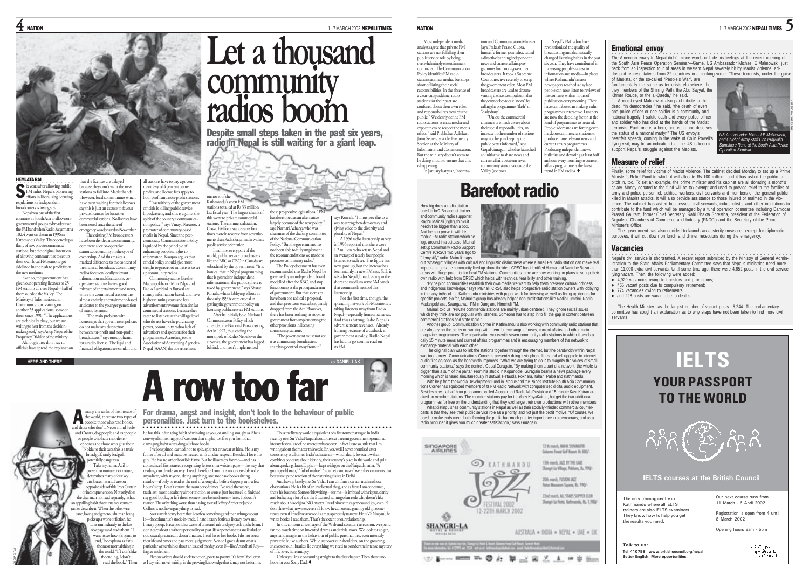



that the licenses are delayed because they don't want the new stations to fall into Maoist hands. However, local communities which have been waiting for their licenses say this is just an excuse to favour private licences for lucrative commercial stations. No licenses have been issued since the state of emergency was declared in November. The existing FM broadcasters ave been divided into community, mmercial or co-operative stations, depending on the type of ownership. And this makes a marked difference to the content of he material broadcast. Community radios focus on locally relevant information and discussions, cooperative stations have a good ixture of entertainment and ne while the commercial stations are almost entirely entertainment-based and cater to the younger generation of music listeners. "The main problem with licensing is that government policies do not make any distinction between for-profit and non-profit broadcasters," says one applicant

all stations have to pay a government levy of 4 percent on net ent tevy or a percent officer.<br>ofits, and license fees apply to both profit and non-profit stations. "Insensitivity of the governme officials is killing public service broadcasters, and this is against the spirit of the country's communication policy," says Vinaya Kasajoo, a promoter of community-based media in Nepal. Since the postdemocracy Communication Policy is guided by the principle of enhancing people's rights to information, Kasajoo argues that official policy should give more weight to grassroot initiatives to set<br>up community radios. up community radios. Community radios like the Madanpokhara FM in Palpa and Radio Lumbini in Butwal are mainly information-based, and have higher running costs and less ertisement revenue than simila commercial stations. Because they cater to listeners at the village level who do not have the purchasing power, community radios lack of oner, community makes mea or<br>dvertisers and sponsors for their programmes. According to the annistic accounting to Nepal (AAAN) the advertiser

mong the ranks of the literate of

broad gulf, rarely bridged, potentially dangerous. Take my father. As if to we that nurture, not nature, termines many of our key attributes, he and I are on opposite sides of this Iron Curtain fincomprehension. Not only does the dear man not read regularly, he has an appalling habit that turns my stomach just to describe it. When this otherwise sane, loving and generous human being picks up a work of fiction, he turns immediately to the last few pages and reads them. "I to see how it's going to end," he explains as if it's nost normal thing in the world. "If I don't like the ending, I don't read the book." Then

A

HEMLATA RAI  $\bullet$  ix years after allowing public FM radio, Nepal's pione efforts in liberalising licens S

regulations for independent broadcasters is losing steam. Nepal was one of the first countries in South Asia to allow n governmental groups to broadcast on the FM band when Radio Sagarmatha 102.4 went on the air in 1996 in Kathmandu Valley. That opened up flurry of new private commercial stations, but the original intention of allowing communities to set up their own local FM stations got sidelined in the rush to profit from the new medium.

Even so, the government has <sup>g</sup>iven out operating licenses to 25 FM stations all over Nepal—half of them outside the Valley. The Ministry of Information and Communication is sitting on another 25 applications, some of them since 1996. "The application are technically okay, but we are waiting to hear from the decisionmaking level," says Anup Nepal of th Frequency Division of the ministry.

Although they don't say it, officials have spread the explanati for a radio license. The legal and financial obligations are similar, and

SUBHAS RAI

**Let a thousand community radios boom**

Despite small steps taken in the past six years, radio in Nepal is still waiting for a giant leap.

turnover of the Kathmandu's seven FM ations totalled at Rs 33 million these projections. "FM

last fiscal year. The largest chunk of this went to private commercial stations. The commercial station, Classic FM for instance earns four times more in revenue from advertisements than Radio Sagarmatha with its public service orientation. In almost every part of the world, public service broadcasters like the BBC or CBC in Canada are subsidised by the government. "It is ironical that in Nepal programming that is geared for independent information in the public sphere is taxed by government," says Bharat taxeu by government, and the Koirala, whose lobbying efforts in the early 1990s were crucial in getting the government policy on has developed as an alternative says Narhari Acharya who was of the National Communication Policy. "But the government has

argely because of the new policy, chairman of the drafting committee says Koirala. "It must see this as a way to strengthen democracy and<br>giving voice to the diversity and given ediversity and plurality of Nepal." A 1996 radio listenership survey in 1996 reported that there were 1.2 million radio sets in Nepal and an average of nearly four people

The Policy document has even commended that Radio Nepal be emment from implementing the listened to each set. This figure has now gone up, but the increase has mainly in new FM sets. Still, it is Radio Nepal, broadcasting in the short and medium wave AM bands that commands most of this listenership. For the first time, though, the reading network of FM stations is

taking listeners away from Radio Nepal—especially from urban areas. And this is hitting Radio Nepal's advertisement revenues. Already hurting because of a cutback in government subsidy, Radio Nepal has had to go commercial on



Most independent media

## Barefoot radio

tion and Communication Minister

How big does a radio station need to be? Broadcast trainer and community radio supporter, Raghu Mainali (right), thinks it needn't be bigger than a box. And he can prove it with his mobile FM radio station which he lugs around in a suitcase. Mainali set up Community Radio Support Centre (CRSC) two years ago to "demystify" radio. Mainali maps

out "strategic" villages with cultural and linguistic distinctness where a small FM radio station can make real impact and gets the community fired up about the idea. CRSC has identified Humla and Namche Bazar as areas with huge potential for local FM stations. Communities there are now working on plans to set up their own radio with help from CRSC which helps with technical feasibility and other training.

"By helping communities establish their own media we want to help them preserve cultural richness and indigenous knowledge," says Mainali. CRSC also helps prospective radio station owners with lobbying in the labyrinths of the Kathmandu ministries with paper work for licensing as well as lining up donors for specific projects. So far, Mainali's group has already helped non-profit stations like Radio Lumbini, Radio Madanpokhara, Swargadwari FM in Dang and Himchuli FM.

Mainali told us: "Private commercial stations are mainly urban-centered. They ignore social issues which they think are not popular with listeners. Someone has to step in to fill the gap in content between commercial stations and state radio."

Another group, Communication Corner in Kathmandu is also working with community radio stations that are already on the air by networking with them for exchange of news, current affairs and other radio magazine programmes. The organisation works with seven community radio stations to which it sends a daily 15 minute news and current affairs programmes and is encouraging members of the network to exchange material with each other.

The original plan was to link the stations together through the internet, but the bandwidth within Nepal was too narrow. Communications Corner is presently doing it via phone lines and will upgrade to internet audio files as soon as the bandwidth improves. "What we are trying to do is to magnify the voices of small community stations," says the centre's Gopal Guragain. "By making them a part of a network, the whole is binner than a sum of the parts." From his studio in Kopundole, Guragain beams a news package every morning which is heard simultaneously in Butwal, Hetauda, Pokhara, Itahari, Palpa and Kathmandu.

With help from the Media Development Fund in Prague and the Panos Institute South Asia Communications Corner has equipped members of its FM Radio Network with computerised digital audio equipment. Besides news, a half-hour programme called Alopalo and Radio Ma Pustak and 15-minute KayaKairan are aired on member stations. The member stations pay for the daily KayaKairan, but get the two additional programmes for free on the understanding that they exchange their own productions with other members. What distinguishes community stations in Nepal as well as their socially-minded commercial counter-

parts is that they see their public service role as a priority, and not just the profit motive. "Of course, we need to make ends meet, but informing the public has much greater importance in a democracy, and as a radio producer it gives you much greater satisfaction," says Guragain.



tion and Communication Minister ( $\frac{1}{2}$  Mathematical conditional contains and conditional conditional conditional condition of the solution of the solution of the solution of the solution of the solution of the solutio



NARENDRA SHRESTHA

*Operation Seminar.*

Minister's Relief Fund to which it will allocate Rs 100 million—and it has asked the public to pitch in, too. To set an example, the prime minister and his cabinet are all donating a month's salary. Money donated to the fund will be tax-exempt and used to provide relief to the families of army and police personnel, political workers, civil servants and members of the general public killed in Maoist attacks. It will also provide assistance to those injured or maimed in the violence. The cabinet has asked businesses, civil servants, industrialists, and other institutions to contribute to the fund which will be managed by a fund operation committee including Damodar Prasad Gautam, former Chief Secretary, Rabi Bhakta Shrestha, president of the Federation of Nepalese Chambers of Commerce and Industry (FNCCI) and the Secretary of the Prime Minister's Office

The government has also decided to launch an austerity measure—except for diplomatic purposes, it will cut down on lunch and dinner receptions during the emergency.

### Vacancies

•<br>
Nepal's civil service is shortstaffed. A recent report submitted by the Ministry of General Administration to the State Affairs Parliamentary Committee says that Nepal's ministries need more than 11,000 extra civil servants. Until some time ago, there were 4,652 posts in the civil service lying vacant. Then, the following were added:

- <sup>z</sup> 4,929 vacancies owing to transfers and promotions;
- 465 vacant posts due to compulsory retirement;
- 774 vacancies owing to retirements a and 228 posts are vacant due to deaths.
- 

The Health Ministry has the largest number of vacant posts—5,244. The parliamentary committee has sought an explanation as to why steps have not been taken to find more civil servants.



**HERE AND THERE** *by* **DANIEL LAK** A row too far

For drama, angst and insight, don't look to the behaviour of public

the world, there are two types of people: those who read books, who don't. Never mind Serbs and Croats, dog people and cat people or people who hate mobile teles and those who glue their Nokia to their ears, this is a truly personalities. Just turn to the bookshelves. he has this infuriating habit of winking at you, or smiling smugly as if he's conveyed some nugget of wisdom that might just free you from that damaging habit of reading all those books. ○○○○○○○○○○○○○○○○○○○○○○○ ○○○○○○○○○○○○○○○○○○○○○○○○○○○○○○○○○○○○○○○○○○○○○○○

I've long since learned not to spit, splutter or swear at him. He is my father after all and must be treated with all due respect. Besides, I love the guy. He has no other horrible flaws. But he illustrates for me-and has done since I first started recognising letters on a written page—the way that reading can divide society. I read therefore I am. It is inconceivable to be anywhere, with anyone, doing anything, and not have books sitting anywhere, with anyone, using anyuning, and not nave books mung<br>nearby—if only to read at the end of a long day before slipping into a few hours' sleep. I can't count the number of times I've read the worst, trashiest, most desultory airport fiction or worse, just because I'd finished my good books, or left them somewhere behind enemy lines. It doesn't matter. The only thing worse than having to read Jeffrey Archer or Jackie Collins, is not having anything to read.

So it is with heavy heart that I confess something and then whinge about it—the columnist's stock-in-trade. I hate literary festivals, literary rows and literary gossip. It is a pointless waste of time and ink and grey cells in the brain. I don't care about a writer's personality or past life or penchant for snail salad or odd sexual practices. It doesn't matter. I read his or her books. I do not assess their life and times and pass moral judgement. Nor do I give a damn what a particular writer thinks about an issue of the day, even if—like Arundhati Roy— I agree with them.

Fiction writers should stick to fiction, poets to poetry. It's how I feel, even as I toy with novel writing in the growing knowledge that it may not be for me.

Thus the literary world's equivalent of a firestorm that raged in India recently over Sir Vidia Naipaul's outbursts at a recent government-sponsored literary festival are of no interest whatsoever. In fact I care so little that I'm writing about the matter this week. Er, yes, well I never promised utter consistency at all times. India's chatterati—which dearly lowes a row that combines concerns about identity, their country's place in the world and guilt about speaking fluent English—leapt with glee on the Naipaul matter. "A grumpy old man," "full of malice" "crotchety and nasty" were the comments that best sum up the reaction of the nattering classes in Delhi.

And having briefly met Sir Vidia, I can confirm a certain truth in those observations. He is a bit of an intellectual thug, and as far as I am concerned, that's his business. Some of his writing—for me—is imbued with rigour, clarity and brilliance; a lot of it is the frustrated ranting of an exile who doesn't like much about his origins. NO matter. I read him with eagerness and joy, even if I don't like what he writes, even if I know he can seem a grumpy old git sometimes, even if I find his views on Islam suspiciously narrow. He is VS Naipaul, he writes books. I read them. That's the extent of our relationship.

In this content driven age of the Web and constant television, we spend<br>for too much time on invented dramas and trivial muss. We look for anger far too much time on invented dramas and trivial rows. We look for anger, angst and insight in the behaviour of public personalities, even intensely private folk like authors. While just over our shoulders, on the groaning shelves of our libraries, lie everything we need to ponder the intense mystery of life, love, hate and joy.

Unless you insist on turning straight to that last chapter. Then there's no hope for you. Sony Dad.

ing public service FM station aising puone service rivi stations<br>After its initially bold National Communicaton Policy which amended the National Broadcasting Act in 1997, thus ending the onopoly of Radio Nepal over the airwaves, the government has lagged behind, and hasn't implemented there has been nothing to stop the other provisions in licensing unity stations. "The government must not see t as community broadcasters snatching control away from it," ire FM.

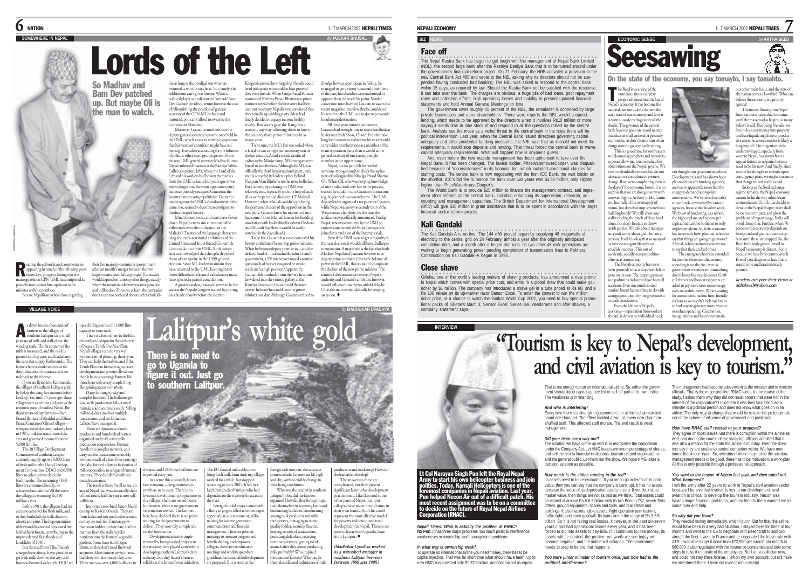## $\mathsf{\bf6}$  nation  $^{\text{1-7 MARCH 2002}}$  nepali times

## **SOMEWHERE IN NEPAL** *by* **PUSKAR BHUSAL**

## Lords of the Left Kangresis proved how forgiving Nepalis could be of politicians who could at least pretend they were friends. When Girija Prasad Koirala

So Madhav and Bam Dev patched up. But maybe Oli is the man to watch.

their first majority communist government

gaining access to markets. Dairy farming is risky and nung *compan*s.<br>ness. The buffaloes get sick, milk production falls, a small mistake could sour milk easily. Selling milk to dairies involves multiple nsactions, and yet farmers in Lalitpur have managed it. There are thousands of milk producers and hundreds of porters organised under 49 active milk

eading the editorials and commentaries <sub>c</sub>use centorius and commements e days, you get a feeling that the taays, you get a recting that un.<br>ition CPN-UML has completed its post-election cabinet line-up down to the minister without portfolio. But are Nepalis anywhere close to getting after last month's merger between the two largest mainstream leftist groups? The answer would depend on, among other things, exactly where the union stands between amalgamatic and infiltration. For now, at least, the comrades don't seem too bothered about such technicali-

without central planning, thank you. They can help themselves, and if the Tenth Plan is to focus on agriculture development and poverty alleviation then it has to encourage farmers like hose here with a very simple thing s dawn breaks, thousands of farmers in the villages of southern Lalitpur carry small jerricans of milk and walk down the winding trails. The fat content of the milk is measured, and the milk is poured into big cans, and loaded into the vans that supply Kathmandu. The farmers have a smoke and tea at the shop, chat about business and then trek back to their homes. If you are flying into Kathmandi A

**VILLAGE VOICE**

R

the villages of southern Lalitpur glide by below the wing five minutes before landing. Yet, until 15 years ago, these villages were as remote and poor as th rest parts of roadless Nepal. But thanks to two feisty farmers—Ram Prasad Banjara of Bhukhel and Bhim Prasad Gautam of Ghusel villageswho pioneered the dairy industry in 1985, milk has transformed the area and generated income for some 5,000 families.

duction cooperatives. Farmers handle this complex network, and carry out the transactions smoothly without much of a fuss. Four years ago they also formed a district federation milk cooperatives to safeguard farmers' interests. They did all this without outside assistance. The result is there for all to see: a area of Nepal that was chronically short The 20 Village Developm Committees of southern Lalitpur currently supply up to 18,000 litre of fresh milk to the Dairy Development Corporation (DDC) and 6,500 litres to other private dairies in Kathmandu. The remaining 7,000 litres are consumed locally, or

sufficient.

converted into khuwa. All this earn the villagers a stunning Rs 150 million a year. Before 1981, the villagers had n

access to a market for fresh milk, and so they boiled all the milk down to khuwa and ghiu. The huge quantities<br>of firewood this needed devented the of firewood this needed deva Mahabharat forests, contributing to the unprecedented flash floods and landslides of 1981.

buffaloes with the money they save. There are now over 4,000 buffaloes in But the road from Tika Bhairab changed everything. It was possible to get fresh milk down to the city, and business boomed so fast, the DDC set

ties as long as the prodigal son who has returned is who he says he is. But, surely, the celebrations can't go on forever. When a political player as proficient as Comrade Bam Dev Gautam decides to return home at the cost of relinquishing the position of general secretary of the CPN-ML he built and nurtured, you can't afford to swear by the Communist Manifesto. nominated Krishna Prasad Bhattarai as minister weeks before the first votes had been cast, not too many Nepalis were convinced that he eternally squabbling party elders had

of politics, other incongruities persist. From the way UML general secretary Madhav Kumar Nepal embraced Gautam at the Rastriya Sabha Griha (see picture left), where the Lord of the Left and his workers had broken themselves from the UML's chains four years ago, it was easy to forget how the main opposition party ad once publicly castigated Gautam as the<br>ountry's most corrupt politician. Gautam's country's most corrupt politician. Gautam's tirades against the UML's abandonment of the e, too, seemed to have been consigned to the dust heap of history.

down Nepal's rivers since irreconcilable differences over the ratification of the Mahakali Treaty and the language character-ising the extra-territorial ambitions of the United States and India forced Gautam & Co to walk out of the UML. Both camps ater acknowledged that the split deprived them of a majority in the 1999 general election. Since ML leaders maintain they ave returned to the UML keeping intact those differences, electoral calculations must have spurred a partial conciliation. A greater catalyst, however, seems to be the success the Nepali Congress reaped by putting on a facade of unity before the election.

Moreover, Gautam is nowhere near the deputy general secretary's post he once held in the UML, which serves to reinforce suspicions that his words of contrition might be a red herring. Even after accounting for the fishiness finally decided to engage in some healthy rivalry. But voters gave the Kangresis a majority any way, allowing them to foist on the country three prime ministers in as<br>many wars many years. To be sure, the ML's fate was sealed when

Much blood, sweat and tears have flown it failed to win a single parliamentary seat in the last election. Amid a steady exodus of cadres to the Maoist camp, ML strategists were forced to face the facts. Although the ML was officially the third largest national party, state<br>modia accorded in loaders a phon hobind media accorded its leaders a place behind Narayan Man Bijukche on the news bulletins. For Gautam, repudiating the UML was relatively easy, especially with the help of such allies as the perennial dissident, CP Mainali. However, when Mainali couldn't quit being the permanent leader of the opposition in the new party, Gautam knew his moment of truth had come. (How Mainali fares in his budding association with leaders like Rajeshwar Devkota

> and Dhundi Raj Shastri would be avidly watched in the days ahead.) To be fair, Gautam has never concealed his fervent ambition of becoming prime minister. When he became deputy premier in—and the de facto head of—Lokendra Bahadur Chand's government, a TV interviewer tossed a routine question: had he ever imagined he would reach such a high position? Apparently, Gautam felt insulted. From the very first time he walked into the visitors' gallery at the Rastriya Panchayat, Gautam told the interviewer, he knew he would become prime minister one day. Although Gautam refused to

divulge how, as a politician in hiding, he managed to get a visitor's pass only members of the partyless chamber were authorised to e then, he made his point. Similar conviction must have led Gautam to assert in a recent magazine interview that he considered his return to the UML as a major step toward his ultimate destination.

All these years outside parliament, Itam had enough time to take a hard look at his former titular boss, Chand. It didn't take long for Gautam to realise that his voice would carry wider reverberations as a member of the main opposition party than it would as the

general secretary of one having a single member in the upper house. Nepal, for his part, felt he needed

someone strong enough to check the aspira-tions of colleagues like Khadga Prasad Sharma Dons of colleagues like Knadga Prasad Snarma<br>Oli. When Oli, who was denying knowledge of unity talks until very late in the process, realised he couldn't stop Gautam's h ing, he planned his own welcome. The UML deputy leader organised a tea party for Gautar while Nepal was away on a study tour of the Westminster chambers. By the time the unification was officially announced, Pradip Nepal, who was entrusted by the UML to

crown Gautam with the Most Corrupt title, joined in a rendition of the Internationale. Even if the UML were to get a majority in the next election, it would still have challenge to surmount. A major one is the fact that both Madhav Nepal and Gautam have served as

deputy prime minister. Given the balance of power in the UML, that shouldn't complicate e election of the new prime minister. The nature of the coexistence between Nepal's authority and Gautam's ambition, however, would influence how events unfold. Maybe Oli is the man we should really be keeping an eye on.

*by* **MADHUKAR UPADHYA**

NEPALI ECONOMY **1 - 7 MARCH 2002 NEPALI TIMES** 

### **BIZ** NE

### Face off

The Nepal Rastra Bank has begun to get tough with the management of Nepal Bank Limited<br>(NBL), the second large bank after the Rastriya Banijya Bank that is to be turned around under the government's financial reform project. On 21 February, the NRB activated a provision in the new Central Bank Act #86 and wrote to the NBL asking why its directors should not be suspended having conducted bad banking. The NBL was asked to respond to the central bank within 15 days, as required by law. Should the Rastra Bank not be satisfied with the response it can take over the bank. The charges are obvious: a huge pile of bad loans, poor repayment rates and collection efforts, high operating losses and inability to present updated financial statements and hold Annual General Meetings on time.

The government owns roughly 41 percent of the NBL, the remainder is controlled by large private businesses and other shareholders. There were reports the NBL would suspend lending, which needs to be approved by the directors when it involves Rs10 million or more, saying it needs time to take stock of and respond to all the questions raised by the central bank. Analysts see the move as a veiled threat to the central bank in the hope there will be political intervention. Last year, when the Central Bank issued directives governing capital adequacy and other prudential banking measures, the NBL said that as it could not meet the requirements, it would stop deposits and lending. That threat forced the central bank to waive capital adequacy requirements. What will happen now is anyone's guess.

And, even before the new outside management has been authorised to take over the Nepal Bank, it has been changed. The lowest bidder, PriceWaterhouseCooper, was disqualified because of "inconsistencies" in its financial bid, which included conditional clauses for staffing costs. The central bank is now negotiating with the Irish ICC Bank, the next bidder or the shortlist. ICC's bid fee to mange the bank over two years was \$4.98 million, only slightly higher than PriceWaterhouseCooper's.

The World Bank is to provide \$25 million to finance the management contract, and implement other reforms at the central bank, including enhancing its supervision, research, accounting and management capacities. The British Department for International Development (DfID) will give \$10 million in grant assistance that is to be spent in accordance with the larger financial sector reform project.

### Kali Gandaki

•<br>The Kali Gandaki-A is on line. The 144 mW project began by supplying 48 megawatts of electricity to the central grid on 24 February, almost a year after the originally anticipated completion date, and a month after it began trial runs. Its two other 48 mW generators are waiting to begin generating power pending completion of transmission lines to Pokhara. Construction on Kali Gandaki-A began in 1996.

Cillette, one of the world's leading makers of shaving products, has announced a new promo in Nepal which comes with special price cuts, and entry in a global draw that could ma richer by \$1 million. The company has introduced a shave gel in a tube priced at Rs 80, and a Rs 100 rebate on its up-market razor Sensor Excel. To enter the contest to win the million dollar prize, or a chance to watch the football World Cup 2002, you need to buy special promotional packs of Gillette's Mach 3, Sensor Excel, Series Gel, deodorants and after shaves, a company statement says.

**ECONOMIC SENSE Seesawing** 

On the state of the economy, you say tomayto, I say tomahto.

7

бΑ ั∡⊾

our other main focus, and the state o the nation comes a low third. Who can believe the economy is a priority

ngs are not really so bad. So long as the fixed exchange reime remains, the Nepali econom

he Beed is wearying of the<br>
numerous times everyday<br>
neonle ask one about the f numerous times everyday people ask one about the fate of epal's economy. It has become the national pastime today to lament the sorry state of our economy and how it ntinuously reeling under all the shocks. The governor of the central bank has even gone on record to state that disaster shall strike after precisely six months, so don't blame him when things starts to go very badly wrong. This is a good time for sooths and doomsday prophets and naysayers,

surprise that we are doing so now with renewed vigour. At every public forum you hear talk of the oversupply of rooms, but does that stop anyone from building hotels? We talk about our wallets feeling the pinch of these hard imes, but don't hesitate to throw lavish parties. We talk about transparency and worry about graft, but on a personal level it is okay that so many of have extravagant lifestyles or smallish incomes. This sort of pandemic, socially-accepted schizohrenia is astonishing. The Nepali economy has never been planned; it has always been left to row on its own. The carpet, garment and pashmina industries have been all accidents. Even our much-touted urism boom had nothing to do with strategic promotion by the government or trade associations.

so please allow me, too, to make a few rvations on the Nepali psyche. We love to relentlessly criticise, but do not ake action or contribute to positive change. If we were complaining even in the days of the economic boom, it is no

and we've apparently never had the energy to demand appropriate iventions. We've never been abl to use funds committed by various agencies, because that involves work. We boast of producing, as a nation, the highest plans and reports per capita, but can't be bothered to truly implement them. So, if the economy has never rally been planned, who's to say that things are going to get worse? After all, what parameters can we use to say that these are bad times!

for another three months, security spending is on the rise, even as government revenues are diminishing to lower business incomes. Graf still thrives and honest taxpayers are asked to pay more taxes to encourage even more dishonesty. We are wa for an economic bailout from friendly nations so we needn't rack our brains



Development is and has always been planned for us by funding age

The emergency has been extended cannot be hit the way other Asian economies are. Until India decides to devalue the Nepali Rupee, there shall be no major impact, and given the problems of export surge, India will avoid doing that. Further, when 70 percent of an economy depends on percent of an economy depends on<br>foreign aid and grants, it cannot go bust until these are stopped. So, the Beed feels, truly great turmoil in Nepal's economy is distant, if only because we have little control over it.

Even if you disagree, at least this is reason to be uncharacteristically positive. *Readers can post their views at arthabeed@yahoo.com*

Even the lifeline of Nepal's economy—repatriation from workers to find ways to generate more revenue

abroad, is driven by individual need, or reduce spending. Ceremonies, inaugurations and functions remain

# **"Tourism is key to Nepal's development, and civil aviation is key to tourism."**

That is not enough to run an international airline. So, either the government should inject capital as needed or sell off part of its ownership. The weakness is in financing.

### *And who is interfering?*

Every time there is a change in government, the airline's chairman and board are changed. The effect trickled down, as every new chairman shuffled staff. This affected staff morale. The end result is weak management.

### *Did your team see a way out?*

The solution we have come up with is to reorganise the corporation under the Company Act. Let HMG keep a minimum percentage of shares, and sell the rest to financial institutions, tourism-related organisations and the general public. Let them run the show. We hope HMG takes a decision as soon as possible.

### *How much is the airline running in the red?*

Its assets need to be re-evaluated. If you are to go in terms of its book its assets need to be re-evaluated. If you are to go in terms of its book<br>value, then you can say that the company is bankrupt. It has no assets because the value of its depreciated assets is zero. If you look at its market value, then things are not as bad as we think. Total assets could be valued at around Rs 6-6.5 billion with its two Boeing 757, seven Twin Otters, ground equipment, spares and tools, and real estate and buildings. It also has intangible assets: flight operation permissions, traffic rights and even goodwill. Its loans are in the range of Rs 3-3.5 billion. So it is not facing real losses. However, in the past six-seven years it has had operational losses every year, and it has been forced to dig into assets to pay bills. If it continues to lose money, its assets will be eroded, the positive net worth we see today will become negative, and the airline will collapse. The government needs to step in before that happens.

*You were junior minister of tourism once, just how bad is the political interference?*

The management had become subservient to the minister and to ministry officials. That is the major problem RNAC faces. In the course of the study, I asked them why they did not resist orders that were not in the interest of the corporation? I told them it was their fault because a minister is a political person and does not know what goes on in an airline. The only way to change that would be to take the professionals out of the sphere of influence of government and politicians.

### *How have RNAC staff reacted to your proposal?*

They agree on most issues. But there is corruption within the airline as well, and during the course of the study top officials admitted that it was also a reason for the state the airline is in today. Even the directors say they are unable to control corruption within. We have mentioned that in our report. So, investment alone may not be the solution, management needs to be good, there has to be motivation, a work-plan. All this is only possible through a professional approach.

### *You went to the rescue of Necon last year, and then opted out. What happened?*

**In the army after 22 years to work in Nepal's civil aviation sector** because I believe that tourism is key to our development, and aviation is critical to develop the tourism industry. Necon was having major financial problems, and my friends there wanted me to come over and help.

### *So why did you leave?*

They needed money immediately, which I put in. But for that, the airline would have been in a very bad situation. I stayed there for three or four months and went to the US to negotiate with Beechcraft to add two aircraft the fleet. I went to France and re-negotiated the lease rate with ATR. I was able to get it down from \$72,900 per aircraft per month to \$60,000. I also negotiated with the insurance companies and took some steps to raise the morale of the employees. But I am a politician now, and could not stay there forever. I left on my own account, but still have my investment there. I have not even taken a receipt.



waiting for the government to n the free market. Development activities imple-Imported cross-bred lahure bhai cost up to Rs 40,000 each. They are from India and not used to the terrain, so they are stall-fed. Farmers grow their own fodder in their bari, and the manure from the stalls recycles nutrients into the farmers' vegetable gardens. Some have built biogas plants, so they don't need firewood aans, so utey don't need mewood<br>nymore. Most farmers invest in nev

the area, and 1,000 new buffaloes are imported every year. In a sense this is a totally laissez faire economy—the government is nowhere to be seen. There is no livestock development programme in the villages, there are no soft loans or farmers, there is no government the road.

veterinarian service. The farmers industry, but they haven't been as

ere have decided there is no point deliver. They now rely completely mented by foreign-aided projects in the area may have played some role in developing southern Lalitpur's dairy of food nearly half the year is now self-

reliable as the farmers' own initia

The EU-funded milk cable car to ring fresh milk from outlying village worked for a while, but stopped operating in early 2001. It left in a lurch hundreds of farmers who had depended on the ropeway for access to Foreign funded project come with a flurry of jargon-filled activities: rapid appraisals, needs assessment, skillseir living conditions.

training for income generation, communication and financial management. There are periodic meetings to monitor progress and enefit sharing, and empower villagers, there are coordination meetings and workshops, where guidelines for sustainable develop e prepared. But as soon as the quality fodder, securing finance, keeping records of transactions, punishing defaulters, receiving eterinary services, getting rid of animals after they ceased producing milk profitably? Who inspired thousands of farmers? Who taught them the skills and techniques of milk

reign cash runs out, the activitie e to a halt. Farmers are left high and dry, with no visible change in What was the catalyst in southern alitpur? How did the farmers organise? How did they form groups, emselves in accessing loans an husbanding buffaloes, coordinating among milk producers and milk ers, managing to obtain production and marketing? How did the leadership develop? from Lalitpur.  $\bullet$ 

The answers to these are complicated, but they present significant lessons for development practitioners. Like Ilam and some other parts of Nepal, Lalitpur villagers have taken their des their own hands. And this could represent the most effective model for poverty reduction and rural development in Nepal. There is no need to learn from Uganda, learn

MADHUKAR UPADHYA

*(Madhukar Upadhya worked as a watershed manager in southern Lalitpur between between 1986 and 1998.)*

# Close shave

*Nepali Times: What is actually the problem at RNAC?* **NS Pun:** It has three major problems: too much political interference, weaknesses in ownership, and management problems. *In what way is ownership weak?*

To operate an international airline you need money, there has to be capital injection. That was far short than what should have been. Up to now HMG has invested only Rs 370 million, and that too not as equity.

Lt Col Narayan Singh Pun left the Royal Nepal Army to start his own helicopter business and join politics. Today, Karnali Helicopters is one of the foremost companies in Nepali aviation. Last year, Pun helped Necon Air out of a difficult patch. His

most recent assignment was to be on a commit<br>to decide on the future of Royal Nepal Airlines<br>Corporation (RNAC).

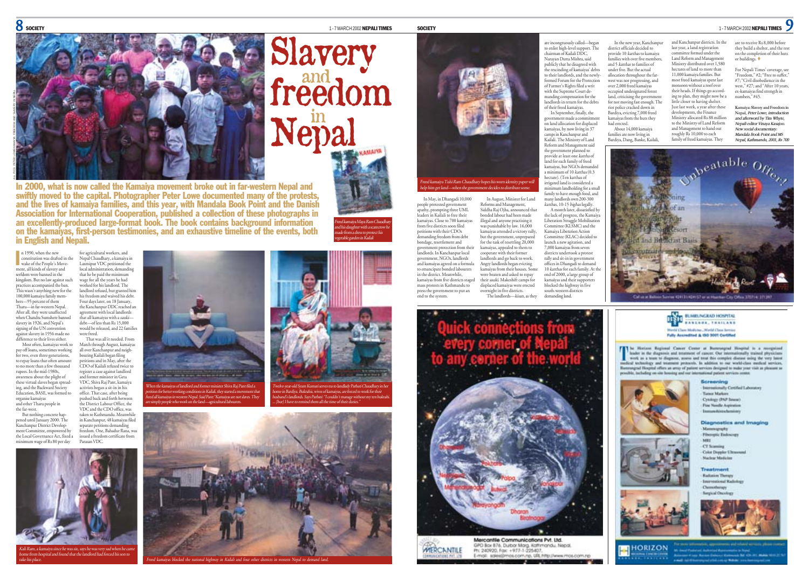Freed kamaiya Maya Ram Chaudhary and his daughter with a scarecrow he made from a dress to protect his vegetable garden in Kailali



# Slavery freedom  $\mathbf{Nepal}$

In 2000, what is now called the Kamaiya movement broke out in far-western Nepal and swiftly moved to the capital. Photographer Peter Lowe documented many of the protests, and the lives of kamaiya families, and this year, with Mandala Book Point and the Danish Association for International Cooperation, published a collection of these photographs in an excellently-produced large-format book. The book contains background information on the kamaiyas, first-person testimonies, and an exhaustive timeline of the events, both in English and Nepali.

n 1990, when the new constitution was drafted in the n 1990, when the new<br>constitution was drafted in<br>wake of the People's Movement, all kinds of slavery and serfdom were banned in the kingdom. But no law against such practices accompanied the ban. This wasn't anything new for the 100,000 kamaiya family members—95 percent of them Tharu—in far-western Nepal. After all, they were unaffected when Chandra Sumshere banned slavery in 1926, and Nepal's signing of the UN convention against slavery in 1956 made no difference to their lives either. Most often, kamaiyas work to for agricultural workers, and that he be paid the minimum wage for all the years he had worked for his landlord. The were freed.

pay off loans, sometimes working or two, even three generations. to repay loans that often amour to no more than a few thousand rupees. In the mid-1980s, awareness about the plight of these virtual slaves began spreading, and the Backward Society Education, BASE, was formed to organise kamaiyas and other Tharu people in the far-west. all over Kanchanpur and neigh-bouring Kailali began filing petitions and in May, after the CDO of Kailali refused twice to and former minister in Geta VDC, Shiva Raj Pant, kamaiya activists began a sit-in in his office. That case, after being pushed back and forth betwe the District Labour Office, the VDC and the CDO office, was taken to Kathmandu. Meanwhile

But nothing concrete happened until January 2000. The Kanchanpur District Development Committee, empowered by the Local Governance Act, fixed a minimum wage of Rs 80 per day in Kanchanpur, 48 kamaiyas filed separate petitions demanding freedom. One, Bahadur Rana, was issued a freedom certificate from Parasan VDC.

take his place.

Kali Ram, a kamaiya since he was six, says he was very sad when he came home from hospital and found that the landlord had forced his son to



When the kamaiyas of landlord and former minister Shiva Raj Pant filed a



petition for better working conditions in Kailali, they started a movement that freed all kamaiyas in western Nepal. Said Pant:"Kamaiyas are not slaves. They are simply people who work on the land—agricultural labourers.



... [but] I have to remind them all the time of their duties."

ras blocked the national highway in Kailali and four other districts in western Nepal to demand la



help him get land—when the government decides to distribute some.

In May, in Dhangadi 10,000 people protested government apathy, prompting three UML leaders in Kailali to free their kamaiyas. Close to 700 kamaiya from five districts soon filed petitions with their CDOs emanding freedom from debt bondage, resettlement and<br>government protection from their government protection from their landlords. In Kanchanpur local government, NGOs, landlords and kamaiyas agreed on a formula to emancipate bonded labourers in the district. Meanwhile, ... the district: ...cammille,<br>kamaiyas from five districts staged mass protests in Kathmandu to press the government to put an end to the system. In August, Minister for Land Reforms and Management, Siddha Raj Ojha, announced that bonded labour had been made illegal and anyone practising it was punishable by law. 16,000 kamaiyas attended a victory rally, but the government, unprepared for the task of resettling 20,000 kamaiyas, appealed to them to cooperate with their former landlords and go back to work. Angry landlords began evicting kamaiyas from their houses. Some were beaten and asked to repay their sauki. Makeshift camps for displaced kamaiyas were erected enight in five districts. The landlords—kisan, as they

Mercantle Communications Pvt. Ltd. GPO Box 876, Durbor Marg, Kaffrmandu, Nepal, **WIERCANTILE** Ph: 240920, Fax: +977-1-225407. E-mail: sales n.np. URL.http://www.mos.com.np

to enlist high-level support. The chairman of Kailali DDC, Narayan Dutta Mishra, said publicly that he disagreed with the rescinding of kamaiyas' debts to their landlords, and the newly-formed Forum for the Protection of Farmer's Rights filed a writ with the Supreme Court demanding compensation for the landlords in return for the debts of their freed kamaiyas.

In September, finally, the ent made a commit on land allocation for displaced kamaiyas, by now living in 37 camps in Kanchanpur and Kailali. The Ministry of Land Reform and Management said the government planned to provide at least one kattha of land for each family of freed kamaiyas, but NGOs demanded a minimum of 10 katthas (0.3) hectare). (Ten katthas of irrigated land is considered a red mind is considered a<br>num landholding for a small family to have enough food, and many landlords own 200-300

katthas, 10-15 bighas legally. A month later, dissatisfied by the lack of progress, the Kamaiya Liberation Struggle Mobilisation Committee (KLSMC) and the Kamaiya Liberation Action Committee (KLAC) decided to launch a new agitation, and 7,000 kamaiyas from seven districts undertook a protest rally and sit-in in government offices in Dhangadi to demand 10 katthas for each family. At the end of 2000, a large group of kamaiyas and their supporters blocked the highway in five south-western districts demanding land.

usly called—bega district officials decided to provide 10 katthas to kamaiya families with over five members, and 5 katthas to families of under five. But the actual allocation throughout the farwest was not progressing, and over 2,000 freed kamaiyas occupied undesignated forest land, criticising the government for not moving fast enough. The riot police cracked down in

Bardiya, evicting 7,000 freed kamaiyas from the huts they had erected. About 14,000 kamaiya families are now living in Bardiya, Dang, Banke, Kailali,

In the new year, Kanchanpur and Kanchanpur districts. In the last year, a land registration committee formed under the Land Reform and Management Ministry distributed over 1,580 hectares of land to more than 11,000 kamaiya families. But most freed kamaiyas spent last monsoon without a roof over their heads. If things go according to plan, they might now be a little closer to having shelter. Just last week, a year after these

developments, the Finance Ministry allocated Rs 88 million to the Ministry of Land Reform and Management to hand out roughly Rs 10,000 to each family of freed kamaiyas. They





a Horizon Regional Cancer Center at Bummagnal Hospital is a receptional<br>saler in the diagnosis and treatment of cancer. Our internationally trained physicians work as a team to diagnose, assess and treat this complete disease using the very latest<br>at technology and teamsent protecule. In addition to our world-class medical services, grad Hospital offers an array of patient services designed to make year visit as phonent as challen on six locates and see interestingly retire services on

> Screaning Internationally Cortified Laboratory Turnir Markers Cytology (PAP Senar) **Fine Needle Aspiration Insurancia to Armium Diagnostics and Imaging** *<u>Lemmigraphs</u>* Pheroptic Endowery CT Scansing **Color Doppler L'Itrasound Nachran Madicine Treatment**











**HORIZON** Life 420-391, Michiel VII









*Nepal, Kathmandu, 2001, Rs 700*

are to receive Rs 8,000 before they build a shelter, and the rest on the completion of their huts or buildings. For Nepali Times' coverage, see "Freedom," #2; "Free to suffer, #7; "Civil disobedience in the west," #27; and "After 10 years, ex-kamaiyas find strength in numbers," #45. **Kamaiya: Slavery and Freedom in Nepal***, Peter Lowe, introduction and afterword by Tim Whyte, Nepali editor Vinaya Kasajoo. New social documentary: Mandala Book Point and MS*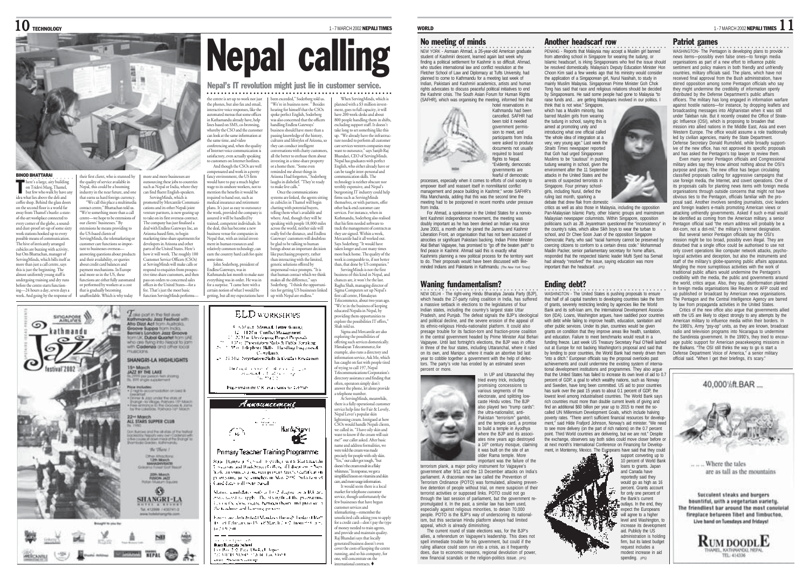

BINOD BHATTARAI ○○○○○○○○○○○○○○○○

here's a large, airy building on Tridevi Marg, Thamel, or a necessaring, a manco,<br>sur few who walk by have an idea what lies above the deli and coffee shop. Behind the glass door on the second floor is a world far away from Thamel's bustle: a sta of-the-art workplace connected to every corner of the globe, a soundand dust-proof set-up of some sixty work stations hooked up to every possible means of communication. The hive of intricately arranged cubicles are buzzing with activity, but Om Bhattachan, manager of ServingMinds, which bills itself as more than just a call centre, says this is just the beginning. The almost uniformly young staff is undergoing training and dry runs before the centre starts function-T

ing—24 hours a day, seven days a week. And going by the response of

ை

festival 2002

their first client, who is stunned by the quality of service available in Nepal, this could be a booming ndustry in the near future, and that earns us hard foreign currency. earns us natu foreign currency.<br>"We call this place a multimedi contact centre," Bhattachan told us. "We're something more than a call centre—we hope to be extensions of our clients' businesses." By extensions he means providing to the US-based clients of ServingMinds, the telemarketing or ustomer care functions so important to businesses overseas answering questions about products and their availability, or queries about credit card balances and payment mechanisms. In Europe and more so in the US, these and more so in the OS, these<br>functions are either fully automated or performed by workers at a cost

una is guadany occounts.

Brought to you by

Darki militar Maria Harry HEPAL

hat is gradually becoming fee. That's just the most basic

more and more businesses are cing these jobs to cou such as Nepal or India, where they can find fluent English-speakers. ServingMinds, which is pervingivities, with its<br>romoted by Mercantile Commu cations and its other Nepali joint nture partners, is now gearing up to take on its first overseas contract. The company has just finalised a deal with Endless Gateways Inc. an Arizona-based firm, to begin marketing time-share apartme developers in Arizona and other parts of the United States. Here's how it will work. The roughly 100 Customer Service Officers (CSOs) at ServingMinds will make calls or espond to enquiries from prospec tive time-share customers, and then pass on orders to concerned sales offices in the United States—for a some time.

function ServingMinds performs—

Loke port in the first ever Kathmandu Jazz Festival with

Groove Suppo from India. Bernie's London Jazz Groove

**TEACCRAS** 

**Sn Morch** 

AZZ BY THE LAKE **JAZZ BY THE LAKE**<br>11.799 per peson fan *it* long<br>11.797 inger s.comment

who are time into Nepal to jam

SHANGRI-LA HIGHLIGHTS

**Now includes:**<br>• 3 reprints conservation on best &

22- March<br>ALL STARS SUPPER CLUB

seator!<br>Yore & Jazz under the status of<br>Yorngh - is village, Pathons 13th Maids<br>senarchance for Supports & James<br>sy the LakeSote. Politicity 14th Maids

that Business cand the tell shots of the feedback

ocksotou fiegodiji very civin Codenyor with<br>Bie course af down meas of the Shange for<br>verhinder Gradens, Kulturnandiji the Water F.

the Afracture

**ANASHYRATE** 

**JOH March**<br>FUNCH JAZZ

49

SHANGRI-LA

Tel: 412066 / 4367413

 $10$  Technology  $^{1\text{-}7 \text{ MARCH 2002} \text{ NEPALI}}$  times

When ServingMinds, which is nned with a \$3 million inve

# Nepal calling

### Nepal's IT revolution might just lie in customer service.

the centre is set up to work not just the phones, but also fax and email, interactive voice responses, like the automated menus that some offices in Kathamandu already have, helt in Nathamanuu aireauy nave, neip<br>lines based on SMS, co-browsing whereby the CSO and the custome an look at the same information at the same time, and video conferencing and, when the quality of Internet voice communication is been exceeded," Soderberg told us. "We're in business now. " Besides ○○○○○○○○○○○○○○○○○○○○○○○○○○○○○○○○ ○○○○○○○○○○○○○○○○○○○○

satisfactory, even actually speaking to customers on Internet hotline And though the CSOs are well npensated and work in a pretty

fancy environment, the US firm would have to pay a much higher wage to its onshore workers, not to mention the benefits it would be<br>sourced to bond out, such as required to hand out, such as medical insurance and retirement <sup>p</sup>lans. It's just as easy to outsource the work, provided the company is assured it will be handled by tained, competent individuals. In the deal, this has become a new business venue for companies in ousiness venue for companies in<br>Nepal that, with an initial invest ment in human resources and relatively common technology, can earn the country hard cash for quite John Soderberg, president of Endless Gateways, was in Kathmandu last month to make sure everything was in order. He was in magne in unocirci.<br>10 make live calls " Once the comm in cubicles in Thamel will begin chatting with potential buyers, telling them what's available and where. And, though they will be speaking with people 18,000 miles across the world, neither side will really feel the distance, and Endless ry reer the distance, and Lindies<br>eways' customers will doubtles be glad to be talking to human  $\overline{\text{h}}$ gs about an important decision like purchasing property, rather than interacting with the limited, generic solutions offered by ersonal voice prompts. "It is that human contact which we think

for a surprise. "I came here with a certain notion of what I would be getting, but all my expectations have makes all the difference," says Soderberg. "I think the opportunities for getting US businesses linked up with Nepal are endless."

**ELD WORKSHOPS** 

5. S.Mast. Mensed. Letter Winner,

11. LLM of Conflict Management 22 Mar Developing Project Propends

**Complaints** 

15 / H. Shiri Negotation Skills & Conflan Regionals

having a several and company

decomputed to address to be

Registered in the U.K. as a cruites to 118 950.

Амынкестене

 $\sim$  1000  $\mu$ 

Primary Teacher Training Programme

Rep. Banga e School degrification & attempting

The kind of the state of the company service services of the company service services of the company services of the company services of the company services of the company services of the company services of the company s

Mature combifator with a 1992 degree or a BA are

stand contracts on the complete of the programme

technical cost is as between them, and just the re-

Foreigne thetrafeted (Mondays through Findays) from

18 of Education 15, 18 March 2 (e2. from the or-

wearsing and Houk Street Goldove, of Education in Seco-

₹W)

Candidates will exite based.

and the books.  $- - -$ 

an an air an t-air air.<br>Bhasa Bumpata Subred Ter Roll 2.0 Paul Docket Japanese

and Resources and

the fundamental humaning process.

HardySign1

120 to 29 sentation Skills & Pattist Spraking

17 Met Telephone Skills - Haroling Financiers &

 $\sim$ 

 $\mathcal{L}_{\mathcal{L}}$ 

hearing for himself that the CSOs poke perfect English, Soderberg was also concerned that the officers was also concerned that the o<br>handling Endless Gateways' business should have more than a sing knowledge of the history, cultures and lifestyles of Arizona, so they can conduct intelligent versations with chatty custor all the better to enthuse them about investing in a time-share property or a home there. "Some even reminded me about things in Arizona I had forgotten," Soderberg aughs in disbelief. "They're ready stems are linked, the agents sitting ment, goes to full capacity, it will have 200 vork-desks and about 800 people handling them in shifts, excluding support staff. It doesn't take long to set something like this up. "We already have the .<br>are needed to perform all customer care services western companies may ant to outsource." says Sanjib Raj want to outsource, says sanjus rea<br>Bhandari, CEO of ServingMinds. Nepal has graduates with perfect English, who either already have or can be taught inter-personal and mmunication skills. The echnology is neither obscure no terribly expensive, and Nepal's burgeoning IT industry could help

firms such as ServingMinds themselves, or with partners, offer other back-end customer care rvices. For instance, when in Kathmandu, Soderberg also realised that his firm needed software to track the management of contracts as track the management or contrac<br>they are signed. Within a week, are signed: whilm a week,<br>cantile had it all worked out Says Soderberg: "It would have taken longer and cost many time more back home. The quality of the work is comparable to, if not better than, that done by US companies." ServingMinds is not the first business of this kind in Nepal, and chances are, it won't be the last. Raghu Shah, managing director of Sigma Computers set up Nepal's first call centre, Himalayan elecommerce, about two years ago

"We're in the business of keeping educated Nepalis in Nepal, by providing them opportuniti plore the possibilities IT offers," Shah told us.

Sigma and Mercantile are also exploring the possibilities of offering such services domestically. Himalayan Telecommerce, for example, also runs a directory and information service, Ask Me, which has caught on fast with people tired of trying to call 197, Nepal Telecommunications Cor directory assistance and finding that often, operators simply don't answer the phone, let alone provide

a telephone number. At ServingMinds, meanwhile, there is a fully operational customer service help-line for Fair & Lovely, Nepal Lever's popular skin lightening cream. Intrigued at how CSOs would handle Nepali clients, we called in. "I have oily skin and want to know if the cream will suit me?" our caller asked. After basic name and address formalities, we were told the cream was made

precisely for people with oily skin. "Yes," our caller got tough, "but doesn't the cream result in a flaky hiteness." In response, we got a simplified lesson on vitamins and skin care, and more usage information. It would seem there is a local market for telephone customer service, though unfortunately the few businesses that have begun

astomer services and telemarketing—remember the unsolicited calls asking you to apply for a credit card-don't pay the type of money needed to train agents, and provide and maintain quality. Raj Bhandari says that locally generated business doesn't even cover the costs of keeping the centre running, and so his company, for one, will concentrate on the international contracts.

### No meeting of minds

•<br>NEW YORK - Asmaan Ahmad, a 26-year-old American graduate student of Kashmiri descent, learned again last week why finding a political settlement for Kashmir is so difficult. Ahmad, who studies international law and conflict resolution at the Fletcher School of Law and Diplomacy at Tufts University, had planned to come to Kathmandu for a meeting last week of Indian, Pakistani and Kashmiri academics, artists and human rights advocates to discuss peaceful political initiatives to end the Kashmir crisis. The South Asian Forum for Human Rights (SAFHR), which was organising the meeting, informed him that



fearful of democratic processes, especially when it comes to efforts of civil society to empower itself and reassert itself in nonmilitarist conflict management and peace building in Kashmir," wrote SAFHR's Rita Manchanda, adding that this was the second time the meeting had to be postponed in recent months under pressure from India.

For Ahmad, a spokesman in the United States for a nonviolent Kashmiri independence movement, the meeting was doubly important as he has been denied an Indian visa since June 2001, a month after he joined the Jammu and Kashmir Liberation Front, an organisation that has not been accused of atrocities or significant Pakistani backing. Indian Prime Minister Atal Behari Vajpayee, has promised to "go off the beaten path" to find peace in Kashmir. Ahmad said this is exactly what Kashmiris planning a new political process for the territory want to do. Their proposals would have been discussed with likeminded Indians and Pakistanis in Kathmandu. *(The New York Times)*

### Waning fundamentalism?

•<br>NEW DELHI - The right-wing Hindu Bharatiya Janata Party (BJP), which heads the 27-party ruling coalition in India, has suffered a massive setback in elections to the legislatures of four Indian states, including the country's largest state Uttar Pradesh, and Punjab. The defeat signals the BJP's ideological and political decline, and the severe erosion of the appeal of its ethnic-religious Hindu-nationalist platform. It could also presage trouble for its faction-torn and fraction-prone coalition in the central government headed by Prime Minister Atal Behari Vajpayee. Until last fortnight's elections, the BJP was in office in three of the four states, including Uttaranchal, where it ruled on its own, and Manipur, where it made an abortive bid last year to cobble together a government with the help of defectors. The party's vote has eroded by an estimated seven percent or more.



mportant was the failure of the terrorism plank, a major policy instrument for Vainayee's government after 9/11 and the 13 December attacks on India's parliament. A draconian new law called the Prevention of Terrorism Ordinance (POTO) was formulated, allowing preventive detention of people without trial, on mere suspicion of their terrorist activities or supposed links. POTO could not go through the last session of parliament, but the government promulgated it. In the past, a similar law has been used, especially against religious minorities, to detain 70,000 people. POTO is the BJP's way of underscoring its nationalism, but this sectarian Hindu platform always had limited appeal, which is already diminishing.

The current round of state elections was, for the BJP's allies, a referendum on Vajpayee's leadership. This does not spell immediate trouble for his government, but could if the ruling alliance could soon run into a crisis, as it frequently does, due to economic reasons, regional devolution of power, new financial scandals or the religion-politics issue. *(IPS)*

### Another headscarf row

•<br>PENANG - Reports that Malaysia may accept a Muslim girl banned from attending school in Singapore for wearing the *tudung*, or Islamic headscarf, is irking Singaporeans who feel the issue should be resolved domestically. Malaysia's Deputy Education Minister Hon Choon Kim said a few weeks ago that his ministry would consider the application of a Singaporean girl, Nurul Nasihah, to study in mainly Muslim Malaysia. Singaporean Prime Minister Goh Chok Tong has said that race and religious relations should be decided by Singaporeans. He said some people had gone to Malaysia "to raise funds and… are getting Malaysians involved in our politics. I

think that is not wise." Singapore, which has a Muslim minority, has barred Muslim girls from wearing the tudung in school, saying this is aimed at promoting unity and introducing what one official called "the whole idea of integration at a very, very young age." Last week the *Straits Times* newspaper reported that Goh had urged Singaporean Muslims to be "cautious" in pushing tudung wearing in school, given the environment after the 11 September attacks in the United States and the arrests of suspected terrorists in Singapore. Four primary schoolgirls, including Nurul, defied the ruling last month, sparking a debate that drew flak from domestic

critics as well as also those in Malaysia, including the opposition Pan-Malaysian Islamic Party, other Islamic groups and mainstream Malaysian newspaper columnists. Within Singapore, opposition politicians such as JB Jeyaretnam questioned the "inconsistency" in the country's rules, which allow Sikh boys to wear the turban to school, and Dr Chee Soon Juan of the opposition Singapore Democratic Party, who said "racial harmony cannot be preserved by coercing citizens to conform to a certain dress code." Mohammad Maidin Packer, senior parliamentary secretary for home affairs, responded that the respected Islamic leader Mufti Syed Isa Semait had already "resolved" the issue, saying education was more important than the headscarf. *(IPS)*

### Ending debt?

**OSHINGTON - The United States is pushing proposals to ensure** that half of all capital transfers to developing countries take the form of grants, severely restricting lending by agencies like the World Bank and its soft-loan arm, the International Development Association (IDA). Loans, Washington argues, have saddled poor countries with debt while failing to improve health, education, sanitation and other public services. Under its plan, countries would be given grants on condition that they improve areas like health, sanitation, and education. Failure to meet benchmarks would result in a funding freeze. Last week US Treasury Secretary Paul O'Neill lashed out at Europe for not backing Washington's proposal and said that by lending to poor countries, the World Bank had merely driven them "into a ditch." European officials say the proposal overlooks past achievements and could undermine the existing system of international development institutions and programmes. They also argue that the United States has failed to increase its own level of aid to 0.7 percent of GDP, a goal to which wealthy nations, such as Norway and Sweden, have long been committed. US aid to poor countries has sunk over the past 15 years to about 0.1 percent of GDP, the lowest level among industrialised countries. The World Bank says rich countries must more than double current levels of giving and find an additional \$60 billion per year up to 2015 to meet the socalled UN Millennium Development Goals, which include halving poverty rates. "There aren't sufficient financial resources for develo ment," said Hilde Frafiord Johnson, Norway's aid minister. "We need to see more delivery (on the part of rich nations) on the 0.7 percent point. Third World countries are delivering, but we are not." Despite the exchange, observers say both sides could move closer before or

at next month's International Conference on Financing for Develop-<br>ment, in Monterney, Mexico. The Europeans have said that they could<br>ment, in Monterney, Mexico. The Europeans have said that they could<br>provide the set of ment, in Monterrey, Mexico. The Europeans have said that they could support converting up to 10 percent of World Bank

### Patriot games

OSHINGTON-The Pentagon is developing plans to provide<br>news items—possibly even false ones—to foreign media organisations as part of a new effort to influence public sentiment and policy makers in both friendly and unfriendly countries, military officials said. The plans, which have not received final approval from the Bush administration, have stirred opposition among some Pentagon officials who say they might undermine the credibility of information openly distributed by the Defense Department's public affairs officers. The military has long engaged in information warfare against hostile nations—for instance, by dropping leaflets and broadcasting messages into Afghanistan when it was still under Taleban rule. But it recently created the Office of Strategic Influence (OSI), which is proposing to broaden that mission into allied nations in the Middle East, Asia and even Western Europe. The office would assume a role traditionally led by civilian agencies, mainly the State Department. Defense Secretary Donald Rumsfeld, while broadly supportive of the new office, has not approved its specific proposals and has asked the Pentagon's top lawyer to review them. Even many senior Pentagon officials and Congressional military aides say they know almost nothing about the OSI's purpose and plans. The new office has begun circulating classified proposals calling for aggressive campaigns that use foreign media, the Internet, and covert operations. One of its proposals calls for planting news items with foreign media organisations through outside concerns that might not have obvious ties to the Pentagon, officials familiar with the proposal said. Another involves sending journalists, civic leaders and foreign leaders e-mails promoting American views or attacking unfriendly governments. Asked if such e-mail would be identified as coming from the American military, a senior

Pentagon official said "the return address will probably be a dot-com, not a dot-mil," the military's Internet designation. But several senior Pentagon officials say the OSI's mission might be too broad, possibly even illegal. They are disturbed that a single office could be authorised to use not

only covert operations like computer network attacks, psychological activities and deception, but also the instruments and staff of the military's globe-spanning public affairs apparatus. Mingling the more surreptitious activities with the work of traditional public affairs would undermine the Pentagon's credibility with the media, the public and governments around the world, critics argue. Also, they say, disinformation planted in foreign media organisations like Reuters or AFP could end up published or broadcast by American news organisations. The Pentagon and the Central Intelligence Agency are barred by law from propaganda activities in the United States.

Critics of the new office also argue that governments allied with the US are likely to object strongly to any attempts by the American military to influence media within their borders. In the 1980's, Army "psy-op" units, as they are known, broadcast radio and television programs into Nicaragua to undermine the Sandinista government. In the 1990's, they tried to encourage public support for American peacekeeping missions in the Balkans. "The OSI still thinks the way to go is start a Defense Department Voice of America," a senior military official said. "When I get their briefings, it's scary."



**RUM DOODLE** MYLIA (ITT)



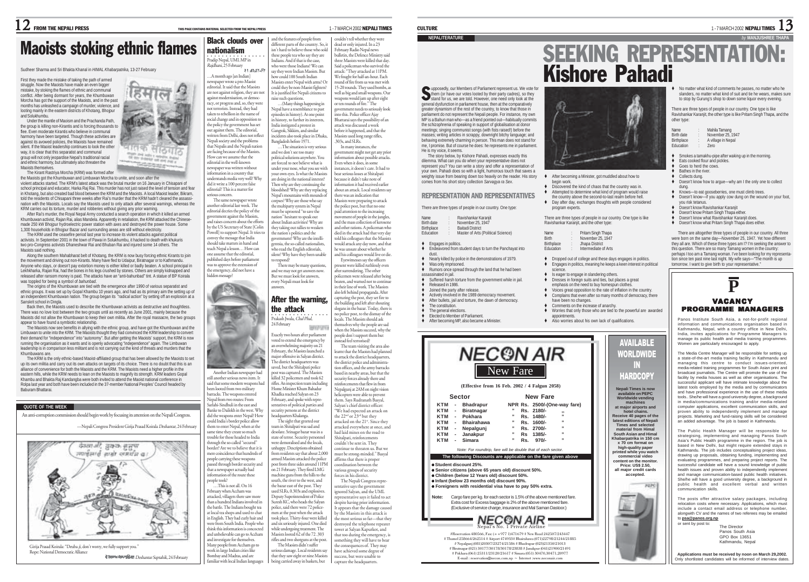### Maoists stoking ethnic flames Black clouds over nationalism

Sudheer Sharma and Sri Bhakta Khanal in *HIMAL Khabarpatrika,* 13-27 February

First they made the mistake of taking the path of armed struggle. Now the Maoists have made an even bigger mistake, by stoking the flames of ethnic and communal conflict. After being dormant for years, the Khumbuwan Morcha has got the support of the Maoists, and in the past months has unleashed a campaign of murder, violence, and looting mainly in the eastern districts of Khotang, Bhojpur and Solukhumbu.

Under the mantle of Maoism and the Prachanda Path, the group is killing non-Kirantis and is forcing thousands to flee. Even moderate Kirantis who believe in communal harmony have been targeted. Though these activities are against its avowed policies, the Maoists have remained silent. If the Maoist leadership continues to look the other way, it is clear that this separatist and communal group will not only jeopardise Nepal's traditional racial and ethnic harmony, but ultimately also threaten the Manists themselves.

The Kirant Rastriya Morcha (KRM) was formed after the Maoists got the Khumbuwan and Limbuwan Morcha to unite, and soon after the

violent attacks started. The KRM's latest attack was the brutal murder on 16 January in Chisapani of school principal and educator, Harka Raj Rai. This murder has not just raised the level of tension and fear in Khotang, but also created bad blood between the KRM and the Maoists. A local Maoist leader, Bikram, told the residents of Chisapani three weeks after Rai's murder that the KRM hadn't cleared the assassination with the Maoists. Locals say the Maoists used to only attack after several warnings, whereas the KRM carries out its torture, murder and robberies without giving any prior warning. After Rai's murder, the Royal Nepal Army conducted a search operation in which it killed an armed

Khumbuwan activist, Rajan Rai, alias Mandela. Apparently in retaliation, the KRM attacked the Chinesemade 250 kW Bhojpur hydroelectric power station with axes and destroyed the power house. Some 1,300 households in Bhojpur Bazar and surrounding areas are still without electricity.

The KRM used the ceasefire period last year to increase its violent attacks against political activists. In September 2001 in the town of Pawai in Solukhumbu, it hacked to death with khukuris two pro-Congress activists Dhaneshwar Rai and Bhuban Rai and injured some 14 others. The Maoists said nothing.

Along the southern Mahabharat belt of Khotang, the KRM is now busy forcing ethnic Kirants to join the movement and driving out non-Kirants. Many have fled to Udaipur, Biratnagar or to Kathmandu. Anyone who stays, or doesn't pay extortion money is either killed or badly beaten. A school principal in Lekhkharka, Rajan Rai, had the bones in his legs crushed by stones. Others are simply kidnapped and released after ransom money is paid. The attacks have an "anti-bahunbad" tint. A statue of BP Koirala was toppled for being a symbol of *bahunbad*.

The origins of the Khumbuwan are tied with the emergence after 1990 of various separatist and ethnic groups. It was set up by Gopal Khambu 10 years ago, and had as its primary aim the setting up of an independent Khumbuwan nation. The group began its "radical action" by setting off an explosion at a Sanskrit school in Dingla. Back then, the Maoists used to describe the Khumbuwan activists as destructive and thoughtless.

There was no love lost between the two groups until as recently as June 2001, mainly because the Maoists did not allow the Khumbuwan to keep their own militia. After the royal massacre, the two groups appear to have found a symbiotic relationship.

The Maoists now see benefits in allying with the ethnic group, and have got the Khumbuwan and the Limbuwan to unite into the KRM. The Maoists thought they had convinced the KRM leadership to convert their demand for "independence" into "autonomy". But after getting the Maoists' support, the KRM is now running the organisation as it wants and is openly advocating "independence" again. The Limbuwan leadership is in comparison less militant and is not carrying out the kind of threats and murders that the Khumbuwans are.

The KRM is the only ethnic-based Maoist-affiliated group that has been allowed by the Maoists to set up its own militia and carry out its own attacks on targets of its choice. There is no doubt that this is an alliance of convenience for both the Maoists and the KRM. The Maoists need a higher profile in the eastern hills, while the KRM needs to lean on the Maoists to magnify its strength. KRM leaders Gopal Khambu and Bhakta Raj Kandangba were both invited to attend the Maoist national conference in Rolpa last year and both have been included in the 37-member National Peoples' Council headed by Baburam Bhattarai.

### **QUOTE OF THE WEEK**

An anti-corruption commission should begin work by focusing its attention on the Nepali Congress.

—Nepali Congress President Girija Prasad Koirala Deshantar, 24 Februa



Deshantar Saptahik, 24 February





Another Indian newspaper had still another serious news item. It aid that some modern weapons ha been looted from two military barracks. The weapons entered Nepal from two routes: From Sarlahi-Sindhuli in the east and Banke to Dailekh in the west. Why did the weapons enter Nepal? How could India's border police allow them to enter Nepal, when at the as to come a vegety to much trouble for those headed to India through the so-called "secured" border? Are we to believe that it is mere coincidence that hundreds of people carrying these weapons assed through border security and that a newspaper actually had information of the route these people took? te took:<br>...This is not all. On 16. February when Accham was attacked, villagers there saw more than a hundred Indians involved in the battle. The Indians bought tea at local tea shops and used to chat in English. They had curly hair and were from South India. People who

think this information is concocted and unbelievable can go to Accham and investigate for themselves. Many people from Accham go to work in large Indian cities lik Bombay and Madras, and are familiar with local Indian languages

and the features of people from different parts of the country. So, isn't hard to believe those who sold these people tea who say they are Indians. And if that is the case, who were those Indians? We can say they were Indian Maoists. But how could 100 South Indian Maoists enter Nepal with arms? Or could they be non-Maoist fighters? It is justified for Nepali citizens to …(Many things happening in Nepal have a resemblance to past episodes in history). At one point history, to further its interests, India instigated a protest in Gangtok, Sikkim, and similar incidents also took place in Dhaka, Bangladesh before 1971. …The situation is very serious and we don't see too many political solutions anywhere. You are forced to not believe what is ue ioreed to not bene re what is our own eyes. Is what the Maoists are doing in the national interest? are comg in the maxonic interest.<br>Then why are they continuing the boodshed? Why are they replacing<br>Jerol's mountains with mounds of Nepal's mountains with mo pses? Why are those who say the multiparty system in Nepal must be uprooted "to save the ation" hesitant to speak out about Indian activities? Why are couldn't tell whether they were dead or only injured. In a 23 February Radio Nepal news bulletin, the Defence Ministry said three Maoists were killed that day. Said a policeman who survived the attack: "They attacked at 11PM. We fought for half-an-hour. Each round of fire from us was met with 15-20 rounds. They used bombs, as well as big and small weapons. Our weapons would jam up after eight or ten rounds of fire." The government needs to seriously look into this. Police officer Ajay Bhattarai says the possibility of an attack was discussed a week before it happened, and that the Maoists used long range rifles, .303s, and SLRs. In many instances, the government might not get any prior information about possible attacks. Even when it does, in some instances, it doesn't care. It had to bear serious losses at Shitalpati because it didn't take note of information it had received earlier about an attack. Local residents say there was an indication that





Exactly two hours after parliament oted to extend the emergency by an overwhelming majority on 21 February, the Maoists launched a

headquarters Khalanga. unhappy. Descriptions obtained om residents say that about 2,000 armed Maoists attacked the police post from three sides around 11PM on 21 February. They fired LMG machine guns from the hills to the south, the river to the west, and the bazar east of the post. They used SLRs, 0.303s and explosives. Deputy Superintendent of Police uresh KC, who heads the Salyan police, said there were 72 policemen at the post when the attack

took place. Thirty-four were killed and six seriously injured. One died while undergoing treatment. The Maoists looted 62 of the 72 .303 rifles and two shotguns at the post. The Maoists didn't suffer rious damage. Local residents say that they saw eight or nine Maoists being carried away in baskets, but

Maoists were preparing to attack the police post, but that no one paid attention to the increasing ovement of people in the jungles and the mass collection of ke and other rations. A policeman who died in the attack had that very day told his colleagues that the Maoist would attack any day now, and that he was unsure about whether he and his colleagues would live or die. Eyewitnesses say the officers present were killed ruthlessly even after surrendering. The other policemen were released after being beaten, and warned not to contin in their line of work. The Maoists also left behind propaganda. After capturing the post, they set fire to the building and left after shouting slogans in the bazar. Today, there is no police post, to the dismay of the locals. The Maoists should ask themselves why the people are sad **SHOT** when the Maoists succeed, why the people don't support them but instead feel terrorised? The team visiting the area also learnt that the Maoists had planned major offensive in Salyan district. to attack the district headquarters, the district police and administra-The district headquarters was saved, but the Shitalpati police tion offices, and the army barracks post was captured. The Maoists based in nearby areas, but that the killed 32 policemen and took 62 security forces already there and rifles. An inspection team includin earny roces aneary there and<br>inforcements that flew in from Home Minister Khum Bahadur Nepalgunj at 2AM on night vision Khadka reached Salyan on 23 helicopters were able to prevent them. Says Rudranath Basyal, February, and spoke with repreentatives of political parties and Salvan's chief district officer: security persons at the district "We had expected an attack on the 22<sup>nd</sup> or 23<sup>nd</sup> but they The sight that greeted our attacked on the 21st. Since they am in Shitalpati was sad and attacked everywhere at once, and desolate. Srinagar bazar was in a had laid mines on the road to state of terror. Security personnel Shitalpati, reinforcements rate of terror: security personne<br>rere demoralised and the locals. couldn't be sent in. They continue to threaten us. But we

> must be strong-minded." Basyal ans to acting ...<br>ffirms that there is proper coordination between the various groups of security forces in his district. The Nepali Congress representative says the government ignored Salyan, and the UML representative says it failed to act despite having prior information. It appears that the damage caused by the Maoists in this attack is the most serious so far—that they destroyed the telephone repeater tower at Salyan Kapurkot, and that too during the emergency, is something they will have to bear the consequences of. They may have achieved some degree of success, but were unable capture the headquarters.

He is my voice, it seems.

**+** Engages in politics.

Was only imprisoned.

 Released in 1986. Joined the party after release. Actively involved in the 1989 democracy movement. After bullets, jail and torture, the dawn of democracy.

 The constitution. The general elections. Elected to Member of Parliament.<br>After becoming MP, also became a Minister.

dust.

upposedly, our Members of Parliament represent us. We vote for them (or have our votes looted by their party cadres), so they stand for us, we are told. However, one need only look at the S general dysfunction in parliament house, then at the comparatively greater dynamism of the rest of the country, to know that those in parliament do not represent the Nepali people. For instance, my own MP is a Bahun man who—as a friend pointed out—habitually commits the schizophrenia of speaking in support of globalisation at donor meetings; singing communist songs (with fists raised!) before the masses; writing articles in scrappy, downright bitchy language; and behaving extremely charming in person. This man does not stand for me, I promise. But of course he does: he represents me in parliament.

The story below, by Kishore Pahadi, expresses exactly this dilemma. What can you do when your representative does not represent you? You can write a story and offer a representation of your own. Pahadi does so with a light, humorous touch that saves a weighty issue from bearing down too heavily on the reader. His story comes from his short story collection *Sarvagya ra Sex*. REPRESENTATION AND REPRESENTATIVES There are three types of people in our country. One type: Name : Ravishankar Karanji<br>Birth date : November 25, 1947 Birth date : November 25, 1947 **Birthplace : Baitadi District**<br>Education Master of Arts

Education : Master of Arts (Political Science)

**Endeavored from student days to turn the Panchayat into** 

Nearly killed by police in the demonstrations of 1979.

◆ Rumors once spread through the land that he had been<br>assassinated in iail assassinated in jail. Suffered harsh torture from the government while in jail.  No matter what kind of comments he passes, no matter who he slanders, no matter what kind of suit and tie he wears, makes sure to stop by Gurung's shop to down some liquor every evening. There are three types of people in our country. One type is like Ravishankar Karanjit, the other type is like Pritam Singh Thapa, and the

 Smokes a tamakhu-pipe after waking up in the morning. Eats cooked flour and pickles. Goes to herd the cows. Bathes in the river. Collects dung.

Doesn't know how to argue—why am I the only one to collect

 Knows—to eat gooseberries, one must climb trees. Doesn't know—if you apply cow dung on the wound on your foot,

## **NEPALITERATURE** *by* **MANJUSHREE THAPA** SEEKING REPRESENTATION: Kishore Pahadi

other type:

Education

dung.

you risk tetanus. Doesn't know Ravishankar Karanjit Doesn't know Pritam Singh Thapa either. Doesn't know what Ravishankar Karanjit does. Doesn't know what Pritam Singh Thapa does either. There are altogether three types of people in our country. All three were born on the same day—November 25, 1947. Yet how different they all are. Which of these three types am I? I'm seeking the answer to this question. There are so many Tamang women in the country: perhaps I too am a Tamang woman. I've been looking for my representation since ten past nine last night. My wife says—"The month is up tomorrow. I want to give birth to your representative."

Name : Mahila Tamang<br>Birth date : November 25, **Birth date** : November 25, 1947<br>**Birtholace** : A village in Nepal A village in Nepal

- begin work.
- Attempted to determine what kind of program would raise
- the country above the second-to-last realm before hell.
- program experts.

| Name         | i.<br>٠ | Pritam Singh Thapa   |
|--------------|---------|----------------------|
| <b>Birth</b> | ٠       | November 25, 1947    |
| Birtholace   | ٠       | Jhapa District       |
| Foucation    |         | Intermediate of Arts |

Educat

 Dropped out of college and these days engages in politics. Engages in politics, meaning he keeps a keen interest in political

- Is eager to engage in slandering others.
- emphasis on the need to buy homespun clothes.
- Voices great opposition to the rate of inflation in the country. Complains that even after so many months of democracy, there
- have been no changes.
- Worries that only those who are tied to the powerful are awarded
- 
- appointments. Also worries about his own lack of qualifications.



#Reservation 480566, Fax: (++977 1)471679 # New Road 242507/243447 # Thamel 258664/262514 # Airport 474933# Bhairahawa (071)22798/21244/21885 # Nepalgunj (081)20307/23274/21586 # Bhadrapur (023)21350/21013 # Biratnagar (021) 30177/30178/30178/23838 # Janakpur (041)21900/21491 # Pokhara (061) 25311/23120/21617 # Simara (051) 30470,30471,20977 E-mail : reservation@necon.com.np ~ Internet :www.neconair.com NEC ON AIR

- After becoming a Minister, got muddled about how to
- Discovered the kind of chaos that the country was in.
- 
- ◆ Day after day, exchanges thoughts with people considered

There are three types of people in our country. One type is like Ravishankar Karanjit, and the other type:

|        | Prilam Singh Thapa   |  |
|--------|----------------------|--|
| ٠      | November 25, 1947    |  |
| ٠<br>٠ | Jhapa District       |  |
| ٠      | Intermediate of Arts |  |
|        |                      |  |

science.

- **The search in the survey of the search state in the search of the search of the search of the search of the search of the search of the search of the search of the search of the search of the search of the search of the s**
- 
- 
- Comments on the increase of anarchy.
- 



alongwith CV and the names of two referees may be emailed The Director Panos South Asia GPO Box 13651 Kathmandu, Nepal

The posts offer attractive salary packages, including relocation costs where necessary. Applications, which must include a contact email address or telephone number,

communication skills.

to **psa@panos.org.np** or sent by post to:

Panos Institute South Asia, a not-for-profit regional information and communications organisation based in Kathmandu, Nepal, with a country office in New Delhi, India, invites applications for Programme Managers to manage its public health and media training programmes. Women are particularly encouraged to apply. The Media Centre Manager will be responsible for setting up a state-of-the-art media training facility in Kathmandu and managing this centre to conduct issues-oriented media-related training programmes for South Asian print and broadcast journalists. The Centre will promote the use of the facility by media houses as well as other organisations. The successful applicant will have intimate knowledge about the latest tools employed by the media and by communicators and have professional experience in the use of these media tools.. She/he will have a good university degree, a background in media/communications training and/or media-related computer applications, excellent communication skills, and proven ability to independently implement and manage projects. Marketing and fund-raising skills will be considered an added advantage. The job is based in Kathmandu. The Public Health Manager will be responsible for strategising, implementing and managing Panos South Asia's Public Health programme in the region. The job is based in New Delhi, but might require extended stays in Kathmandu. The job includes conceptualising project ideas, drawing up proposals, obtaining funding, implementing and evaluating programmes, and preparing project reports. The successful candidate will have a sound knowledge of public health issues and proven ability to independently implement and manage communication-based public health initiatives. She/he will have a good university degree, a background in public health and excellent verbal and written

V ACANCY PROGRAMME MANAGERS

**P**

**Applications must be received by noon on March 29,2002.**

Only shortlisted candidates will be informed of interview dates.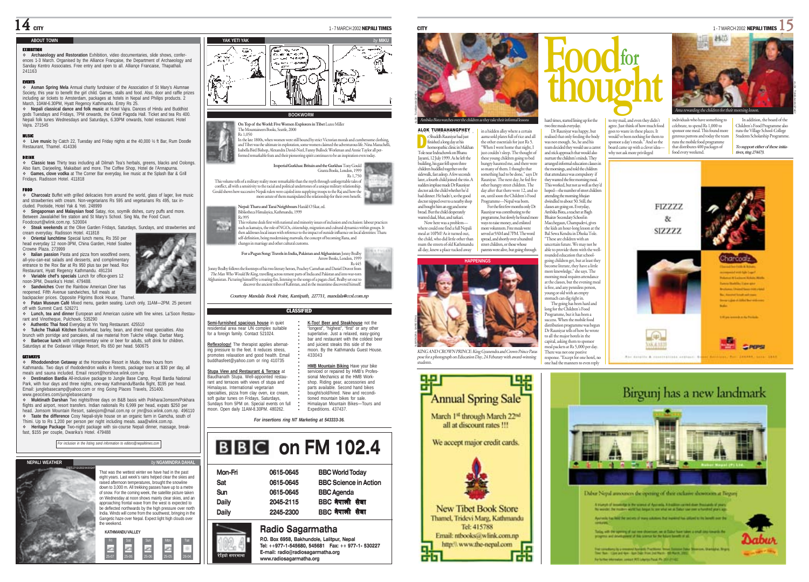### **ABOUT TOWN**

**EXHIBITION<br>❖ Archaeology and Restoration** Exhibition, video documentaries, slide shows, confer-<br>ences 1-3 March. Organised by the Alliance Française, the Department of Archaeology and Sanday Kentro Associates. Free entry and open to all. Alliançe Francaise, Thapathali. 241163

EVENTS **Asman Spring Mela** Annual charity fundraiser of the Association of St Mary's Alumnae Society, this year to benefit the girl child. Games, stalls and food. Also, door and raffle prizes including air tickets to Amsterdam, packages at hotels in Nepal and Philips products. 2 March, 10AM-6.30PM, Hyatt Regency Kathmandu. Entry Re 25.

 **Nepali classical dance and folk music** at Hotel Vajra. Dances of Hindu and Buddhist gods Tuesdays and Fridays, 7PM onwards, the Great Pagoda Hall. Ticket and tea Rs 400. Nepali folk tunes Wednesdays and Saturdays, 6.30PM onwards, hotel restaurant. Hotel Vajra. 271545

MUSIC **Live music** by Catch 22, Tuesday and Friday nights at the 40,000 ½ ft Bar, Rum Doodle Restaurant, Thamel. 414336

### DRINK

 **Classic teas** Thirty teas including all Dilmah Tea's herbals, greens, blacks and Oolongs. Also Ilam, Darjeeling, Makaibari and more. The Coffee Shop, Hotel de l'Annapurna. **Games, clove vodka** at The Corner Bar everyday, live music at the Splash Bar & Grill Fridays. Radisson Hotel. 411818

### **FOOD**

**Charcoalz** Buffet with grilled delicacies from around the world, glass of lager, live music and strawberries with cream. Non-vegetarians Rs 595 and vegetarians Rs 495, tax included. Poolside, Hotel Yak & Yeti. 248999

 **Singaporean and Malaysian food** Satay, rice, soymilk dishes, curry puffs and more. Between Jawalakhel fire station and St Mary's School. Sing Ma, the Food Court.

Foodcourt@wlink.com.np. 520004 **Steak weekends** at the Olive Garden Fridays, Saturdays, Sundays, and strawberries and cream everyday. Radisson Hotel. 411818

 **Oriental lunchtime** Special lunch menu, Rs 350 per head everyday 12 noon-3PM, China Garden, Hotel Soaltee Crowne Plaza. 273999

 **Italian passion** Pasta and pizza from woodfired ovens, all-you-can-eat salads and desserts, and complimentary entrance to the Rox Bar at Rs 950 plus tax per head. Rox Restaurant, Hyatt Regency Kathmandu. 491234

 **Variable chef's specials** Lunch for office-goers 12 noon-3PM, Dwarika's Hotel. 479488.

 **Sandwiches** Over the Rainbow American Diner has reopened. Fifth Avenue sandwiches, full meals at backpacker prices. Opposite Pilgrims Book House, Thamel.

 **Patan Museum Café** Mixed menu, garden seating. Lunch only, 11AM—2PM. 25 percent off with Summit Card. 526271

 **Lunch, tea and dinner** European and American cuisine with fine wines. La'Soon Restaurant and Vinotheque, Pulchowk. 535290

**Authentic Thai food** Everyday at Yin Yang Restaurant. 425510

 **Tukche Thakali Kitchen** Buckwheat, barley, bean, and dried meat specialties. Also brunch with porridge and pancakes, all raw material from Tukche village. Darbar Marg. **Barbecue lunch** with complementary wine or beer for adults, soft drink for children. Saturdays at the Godavari Village Resort, Rs 650 per head. 560675

GETAWAYS **Rhododendron Getaway** at the Horseshoe Resort in Mude, three hours from Kathmandu. Two days of rhododendron walks in forests, package tours at \$30 per day, all meals and sauna included. Email resort@horshoe.wlink.com.np

 **Destination Bardia** All-inclusive package to Jungle Base Camp, Royal Bardia National Park, with four days and three nights, one-way Kathmandu/Bardia flight, \$195 per head. Email: junglebasecamp@yahoo.com or ring Going Places Travels, 251400. www.geocities.com/junglebasecamp

 **Muktinath Darshan** Two nights/three days on B&B basis with Pokhara/Jomsom/Pokhara flights and airport, resort transfers. Indian nationals Rs 6,999 per head, expats \$250 per head. Jomsom Mountain Resort, salesjom@mail.com.np or jmr@soi.wlink.com.np. 496110 **Taste the difference** Cosy Nepali-style house on an organic farm in Gamcha, south of

Thimi. Up to Rs 1,200 per person per night including meals. aaa@wlink.com.np. **Heritage Package** Two-night package with six-course Nepali dinner, massage, break-fast, \$155 per couple, Dwarika's Hotel. 479488









**YAK YETI YAK** *by* **MIKU**

### **BOOKWORM**

**On Top of the World: Five Women Explorers in Tibet** Luree Miller eers Books, Seattle, 2000 Rs 1,050 In the late 1800s, when women were still bound by strict Victorian morals and cumbersome clothing, and Tibet was the ultimate in exploration, some women claimed the adventurous life. Nina Mazuchelli, Isabella Bird Bishop, Alexandra David-Neel, Fanny Bullock Workman and Annie Taylor all perform the pion pishop, recessional exerces vees, a samy punoes workman and run<br>med remarkable feats and their pioneering spirit continues to be an inspiratio



**Nepal: Tharu and Tarai Neighbours** Harald O Skar, ed. Bibliotheca Himalayica, Kathmandu, 1999 Rs 995

This volume deals first with national and minority issues of inclusion and exclusion: labour practices Maler such as kamaiya, the role of NGOs, citizenship, migration and cultural dynamics within groups. It then addresses local issues with reference to the impact of outside influence on local identities: Tharu self-definition, being modernising matwalis, the concept of becoming Rana, and changes in marriage and other cultural customs.

**For a Pagan Song: Travels in India, Pakistan and Afghanistan** Jonny Bealby Arrow Books, London, 1999 Rs 445 Jonny Bealby follows the footsteps of his two literary heroes, Peachey Carnehan and Daniel Dravot from

The Man Who Would Be King, travelling across remote parts of India and Pakistan and into war-torn (Afghanistan<br>Afghanistan. Picturing himself by a roaring fire, listening to the songs of a pagan chief, Bealby set out to<br>di

*Courtesy Mandala Book Point, Kantipath, 227711, mandala@ccsl.com.np*

### CLASSIFIED

| Semi-furnished spacious house in quiet<br>residential area near UN complex suitable<br>for a foreign family. Contact 521024. | K-Too! Beer and Steakhouse not the<br>"longest", "highest", "first" or any other<br>superlative. Just a relaxed, easy-going<br>bar and restaurant with the coldest been |
|------------------------------------------------------------------------------------------------------------------------------|-------------------------------------------------------------------------------------------------------------------------------------------------------------------------|
| Reflexology! The therapist applies alternat-                                                                                 | and juiciest steaks this side of the                                                                                                                                    |
| ing pressure to the feet. It reduces stress.                                                                                 | moon. By the Kathmandu Guest House.                                                                                                                                     |
| promotes relaxation and good health. Email                                                                                   | 433043                                                                                                                                                                  |
| buddhasfeet@vahoo.com or ring 410735                                                                                         |                                                                                                                                                                         |
|                                                                                                                              | HMB Mountain Biking Have your bike                                                                                                                                      |
| Stupa View and Restaurant & Terrace at                                                                                       | serviced or repaired by HMB's Profes-                                                                                                                                   |
| Baudhanath Stupa, Well-appointed restau-                                                                                     | sional Mechanics at the HMB Work-                                                                                                                                       |
| rant and terraces with views of stupa and                                                                                    | shop. Riding gear, accessories and                                                                                                                                      |
| Himalavas, International vegetarian                                                                                          | parts available. Second hand bikes                                                                                                                                      |
| specialties, pizza from clay oven, ice cream,                                                                                | bought/sold/hired. New and recondi-                                                                                                                                     |
| soft guitar tunes on Fridays, Saturdays,                                                                                     | tioned mountain bikes for sale.                                                                                                                                         |
| Sundays from 5PM on. Special events on full                                                                                  | Himalavan Mountain Bikes-Tours and                                                                                                                                      |

○○○○○○ tioned mountain bikes for sale. Himalayan Mountain Bikes—Tours and Expeditions. 437437.

*For insertions ring NT Marketing at 543333-36.*

## **BBC** on FM 102.4

|         | Radio Sagarmatha |                              |  |
|---------|------------------|------------------------------|--|
| Daily   | 2245-2300        | BBC नेपाली सेवा              |  |
| Daily   | 2045-2115        | BBC नेपाली सेवा              |  |
| Sun     | 0615-0645        | <b>BBC</b> Agenda            |  |
| Sat     | 0615-0645        | <b>BBC Science in Action</b> |  |
| Mon-Fri | 0615-0645        | <b>BBC World Today</b>       |  |

रेडियो सगरमाथा

moon. Open daily 11AM-8.30PM. 480262.







pose for a photograph on Education Day, 24 Feburary with award-winning students.





able to provide them with the wellrounded education that schoolgoing children get, but at least they become literate, they have a little more knowledge," she says. The morning meal requires attendance at the classes, but the evening meal is free, and any penniless person, young or old with an empty stomach can dig right in. The going has been hard and long for the Children's Food Programme, but it has been a success. When the mobile food distribution programme was begun Dr Rauniyar tells of how he wrote to all the major hotels in the capital, asking them to sponsor eal packets at Rs 5,000 per day. There was not one postive response. "Except for one hotel, no one had the manners to even reply

to my mail, and even they didn't agree. Just think of how much food s to waste in these places. It

would've been nothing for them to sponsor a day's meals." And so the board came up with a clever ideawhy not ask more privileged

celebrate, to spend Rs 1,000 to ponsor one meal. This found more genrous patrons and today the team runs the mobile food programme that distributes 400 packages of food every weekend.

individuals who have something to

runs the Village School-College Students Scholarship Programme. *To support either of these initiatives, ring 274473.*

In addition, the board of the Children's Food Programme also







 $14$  city